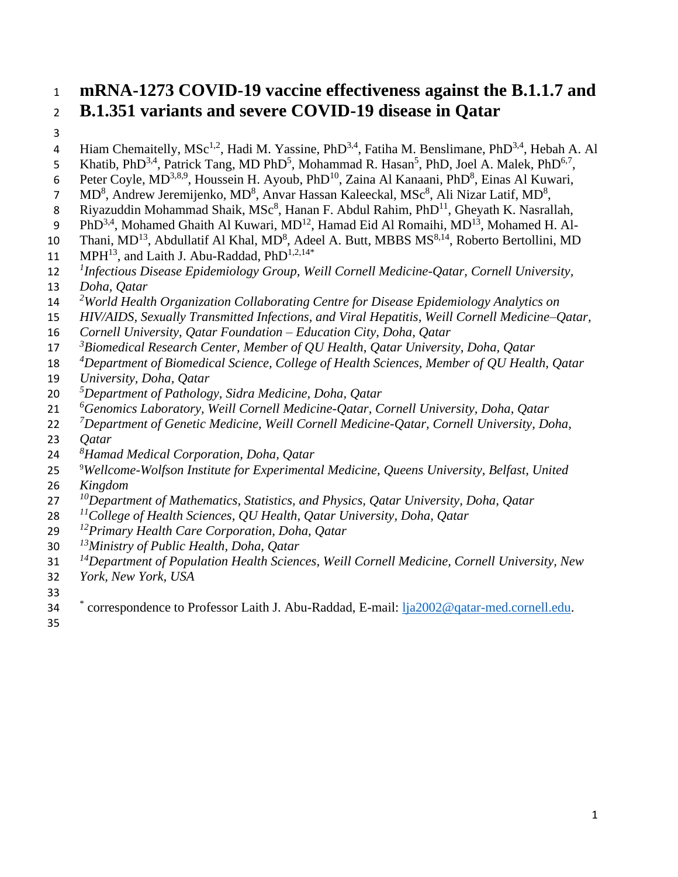# **mRNA-1273 COVID-19 vaccine effectiveness against the B.1.1.7 and B.1.351 variants and severe COVID-19 disease in Qatar**

- 
- 4 Hiam Chemaitelly, MSc<sup>1,2</sup>, Hadi M. Yassine, PhD<sup>3,4</sup>, Fatiha M. Benslimane, PhD<sup>3,4</sup>, Hebah A. Al
- 5 Khatib, PhD<sup>3,4</sup>, Patrick Tang, MD PhD<sup>5</sup>, Mohammad R. Hasan<sup>5</sup>, PhD, Joel A. Malek, PhD<sup>6,7</sup>,
- 6 Peter Coyle, MD<sup>3,8,9</sup>, Houssein H. Ayoub, PhD<sup>10</sup>, Zaina Al Kanaani, PhD<sup>8</sup>, Einas Al Kuwari,
- 7 MD<sup>8</sup>, Andrew Jeremijenko, MD<sup>8</sup>, Anvar Hassan Kaleeckal, MSc<sup>8</sup>, Ali Nizar Latif, MD<sup>8</sup>,
- 8 Riyazuddin Mohammad Shaik, MS $c^8$ , Hanan F. Abdul Rahim, Ph $D^{11}$ , Gheyath K. Nasrallah,
- 9 PhD<sup>3,4</sup>, Mohamed Ghaith Al Kuwari, MD<sup>12</sup>, Hamad Eid Al Romaihi, MD<sup>13</sup>, Mohamed H. Al-
- 10 Thani, MD<sup>13</sup>, Abdullatif Al Khal, MD<sup>8</sup>, Adeel A. Butt, MBBS MS<sup>8,14</sup>, Roberto Bertollini, MD
- $MPH<sup>13</sup>$ , and Laith J. Abu-Raddad,  $PhD<sup>1,2,14*</sup>$
- *1 Infectious Disease Epidemiology Group, Weill Cornell Medicine-Qatar, Cornell University,*
- *Doha, Qatar*
- *<sup>2</sup>World Health Organization Collaborating Centre for Disease Epidemiology Analytics on*
- *HIV/AIDS, Sexually Transmitted Infections, and Viral Hepatitis, Weill Cornell Medicine–Qatar,*
- *Cornell University, Qatar Foundation – Education City, Doha, Qatar*
- *3 Biomedical Research Center, Member of QU Health, Qatar University, Doha, Qatar*
- *4 Department of Biomedical Science, College of Health Sciences, Member of QU Health, Qatar*
- *University, Doha, Qatar*
- *5 Department of Pathology, Sidra Medicine, Doha, Qatar*
- <sup>6</sup> Genomics Laboratory, Weill Cornell Medicine-Qatar, Cornell University, Doha, Qatar
- *7 Department of Genetic Medicine, Weill Cornell Medicine-Qatar, Cornell University, Doha,*
- *Qatar*
- *8 Hamad Medical Corporation, Doha, Qatar*
- <sup>9</sup>*Wellcome-Wolfson Institute for Experimental Medicine, Queens University, Belfast, United*
- *Kingdom*
- *<sup>10</sup> Department of Mathematics, Statistics, and Physics, Qatar University, Doha, Qatar*
- *<sup>11</sup> College of Health Sciences, QU Health, Qatar University, Doha, Qatar*
- *12 Primary Health Care Corporation, Doha, Qatar*
- *<sup>13</sup>Ministry of Public Health, Doha, Qatar*
- *<sup>14</sup> Department of Population Health Sciences, Weill Cornell Medicine, Cornell University, New*
- *York, New York, USA*
- 
- <sup>\*</sup> correspondence to Professor Laith J. Abu-Raddad, E-mail: [lja2002@qatar-med.cornell.edu.](mailto:lja2002@qatar-med.cornell.edu)
-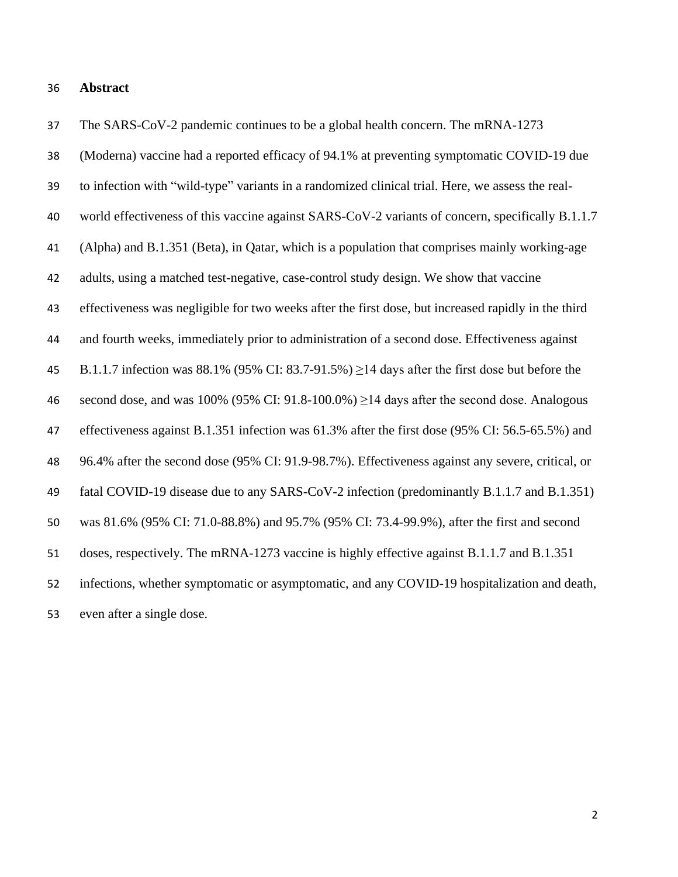#### **Abstract**

 (Moderna) vaccine had a reported efficacy of 94.1% at preventing symptomatic COVID-19 due to infection with "wild-type" variants in a randomized clinical trial. Here, we assess the real- world effectiveness of this vaccine against SARS-CoV-2 variants of concern, specifically B.1.1.7 (Alpha) and B.1.351 (Beta), in Qatar, which is a population that comprises mainly working-age adults, using a matched test-negative, case-control study design. We show that vaccine effectiveness was negligible for two weeks after the first dose, but increased rapidly in the third and fourth weeks, immediately prior to administration of a second dose. Effectiveness against 45 B.1.1.7 infection was 88.1% (95% CI: 83.7-91.5%)  $\geq$ 14 days after the first dose but before the 46 second dose, and was  $100\%$  (95% CI: 91.8-100.0%)  $\geq$ 14 days after the second dose. Analogous effectiveness against B.1.351 infection was 61.3% after the first dose (95% CI: 56.5-65.5%) and 96.4% after the second dose (95% CI: 91.9-98.7%). Effectiveness against any severe, critical, or fatal COVID-19 disease due to any SARS-CoV-2 infection (predominantly B.1.1.7 and B.1.351) was 81.6% (95% CI: 71.0-88.8%) and 95.7% (95% CI: 73.4-99.9%), after the first and second doses, respectively. The mRNA-1273 vaccine is highly effective against B.1.1.7 and B.1.351 infections, whether symptomatic or asymptomatic, and any COVID-19 hospitalization and death, even after a single dose.

The SARS-CoV-2 pandemic continues to be a global health concern. The mRNA-1273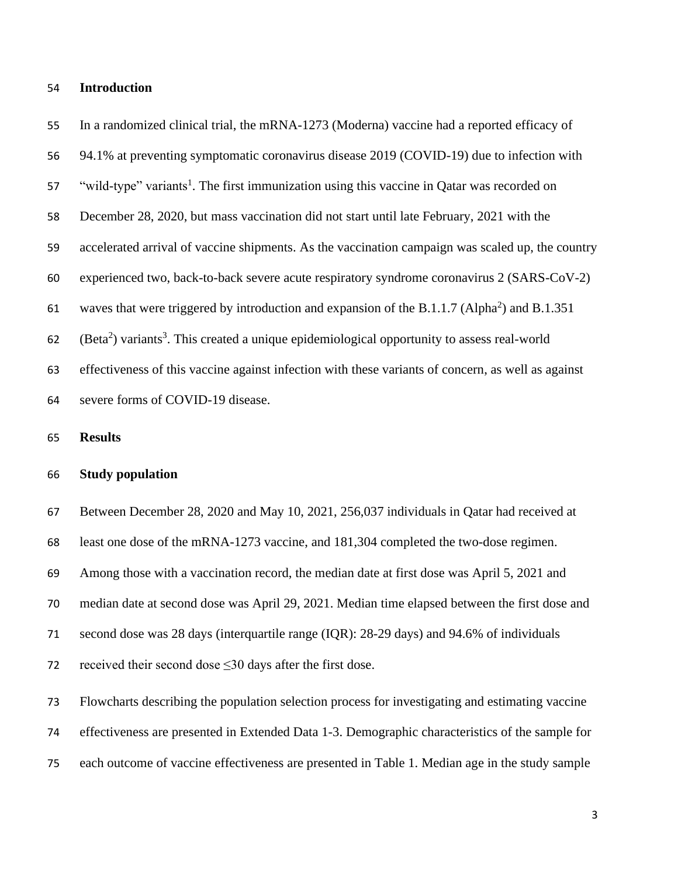#### **Introduction**

 In a randomized clinical trial, the mRNA-1273 (Moderna) vaccine had a reported efficacy of 94.1% at preventing symptomatic coronavirus disease 2019 (COVID-19) due to infection with 57 "wild-type" variants<sup>1</sup>. The first immunization using this vaccine in Qatar was recorded on December 28, 2020, but mass vaccination did not start until late February, 2021 with the accelerated arrival of vaccine shipments. As the vaccination campaign was scaled up, the country experienced two, back-to-back severe acute respiratory syndrome coronavirus 2 (SARS-CoV-2) 61 waves that were triggered by introduction and expansion of the B.1.1.7 (Alpha<sup>2</sup>) and B.1.351 62  $\left( \text{Beta}^2 \right)$  variants<sup>3</sup>. This created a unique epidemiological opportunity to assess real-world effectiveness of this vaccine against infection with these variants of concern, as well as against severe forms of COVID-19 disease.

#### **Results**

# **Study population**

 Between December 28, 2020 and May 10, 2021, 256,037 individuals in Qatar had received at least one dose of the mRNA-1273 vaccine, and 181,304 completed the two-dose regimen. Among those with a vaccination record, the median date at first dose was April 5, 2021 and median date at second dose was April 29, 2021. Median time elapsed between the first dose and second dose was 28 days (interquartile range (IQR): 28-29 days) and 94.6% of individuals 72 received their second dose  $\leq$ 30 days after the first dose. Flowcharts describing the population selection process for investigating and estimating vaccine

effectiveness are presented in Extended Data 1-3. Demographic characteristics of the sample for

each outcome of vaccine effectiveness are presented in Table 1. Median age in the study sample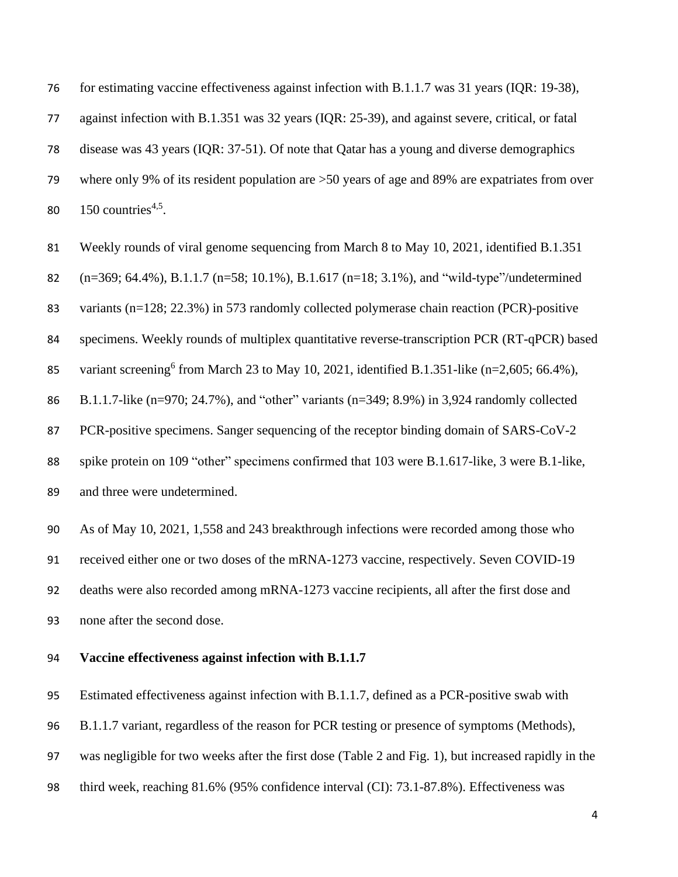for estimating vaccine effectiveness against infection with B.1.1.7 was 31 years (IQR: 19-38),

against infection with B.1.351 was 32 years (IQR: 25-39), and against severe, critical, or fatal

disease was 43 years (IQR: 37-51). Of note that Qatar has a young and diverse demographics

 where only 9% of its resident population are >50 years of age and 89% are expatriates from over 80 countries<sup>4,5</sup>.

Weekly rounds of viral genome sequencing from March 8 to May 10, 2021, identified B.1.351

(n=369; 64.4%), B.1.1.7 (n=58; 10.1%), B.1.617 (n=18; 3.1%), and "wild-type"/undetermined

variants (n=128; 22.3%) in 573 randomly collected polymerase chain reaction (PCR)-positive

specimens. Weekly rounds of multiplex quantitative reverse-transcription PCR (RT-qPCR) based

85 variant screening<sup>6</sup> from March 23 to May 10, 2021, identified B.1.351-like (n=2,605; 66.4%),

B.1.1.7-like (n=970; 24.7%), and "other" variants (n=349; 8.9%) in 3,924 randomly collected

PCR-positive specimens. Sanger sequencing of the receptor binding domain of SARS-CoV-2

 spike protein on 109 "other" specimens confirmed that 103 were B.1.617-like, 3 were B.1-like, and three were undetermined.

 As of May 10, 2021, 1,558 and 243 breakthrough infections were recorded among those who received either one or two doses of the mRNA-1273 vaccine, respectively. Seven COVID-19 deaths were also recorded among mRNA-1273 vaccine recipients, all after the first dose and none after the second dose.

# **Vaccine effectiveness against infection with B.1.1.7**

Estimated effectiveness against infection with B.1.1.7, defined as a PCR-positive swab with

B.1.1.7 variant, regardless of the reason for PCR testing or presence of symptoms (Methods),

was negligible for two weeks after the first dose (Table 2 and Fig. 1), but increased rapidly in the

third week, reaching 81.6% (95% confidence interval (CI): 73.1-87.8%). Effectiveness was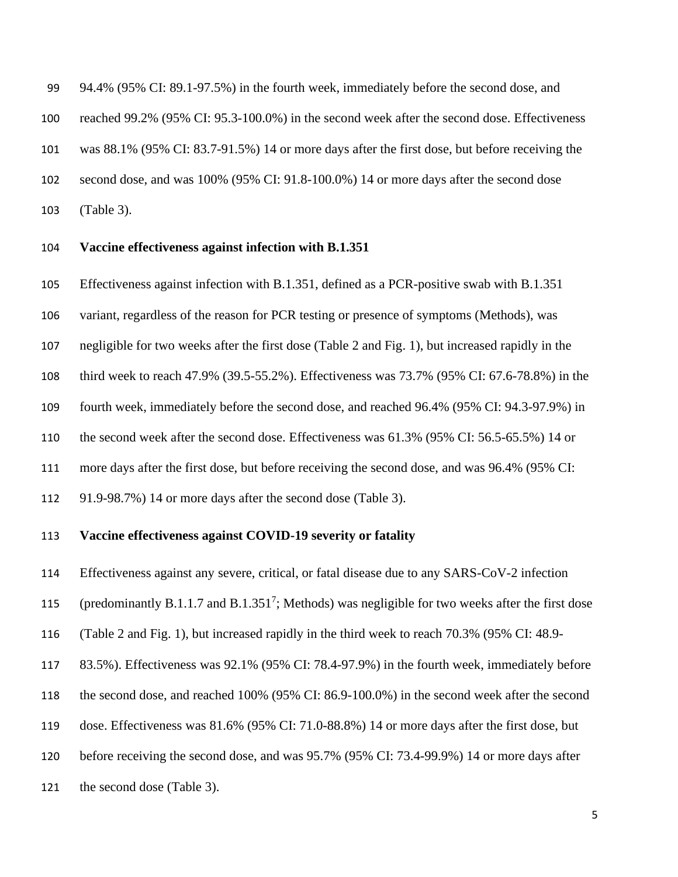94.4% (95% CI: 89.1-97.5%) in the fourth week, immediately before the second dose, and reached 99.2% (95% CI: 95.3-100.0%) in the second week after the second dose. Effectiveness was 88.1% (95% CI: 83.7-91.5%) 14 or more days after the first dose, but before receiving the second dose, and was 100% (95% CI: 91.8-100.0%) 14 or more days after the second dose (Table 3).

#### **Vaccine effectiveness against infection with B.1.351**

Effectiveness against infection with B.1.351, defined as a PCR-positive swab with B.1.351

variant, regardless of the reason for PCR testing or presence of symptoms (Methods), was

negligible for two weeks after the first dose (Table 2 and Fig. 1), but increased rapidly in the

third week to reach 47.9% (39.5-55.2%). Effectiveness was 73.7% (95% CI: 67.6-78.8%) in the

fourth week, immediately before the second dose, and reached 96.4% (95% CI: 94.3-97.9%) in

the second week after the second dose. Effectiveness was 61.3% (95% CI: 56.5-65.5%) 14 or

more days after the first dose, but before receiving the second dose, and was 96.4% (95% CI:

91.9-98.7%) 14 or more days after the second dose (Table 3).

### **Vaccine effectiveness against COVID-19 severity or fatality**

Effectiveness against any severe, critical, or fatal disease due to any SARS-CoV-2 infection

115 (predominantly B.1.1.7 and B.1.351<sup>7</sup>; Methods) was negligible for two weeks after the first dose

(Table 2 and Fig. 1), but increased rapidly in the third week to reach 70.3% (95% CI: 48.9-

83.5%). Effectiveness was 92.1% (95% CI: 78.4-97.9%) in the fourth week, immediately before

- the second dose, and reached 100% (95% CI: 86.9-100.0%) in the second week after the second
- dose. Effectiveness was 81.6% (95% CI: 71.0-88.8%) 14 or more days after the first dose, but
- before receiving the second dose, and was 95.7% (95% CI: 73.4-99.9%) 14 or more days after

the second dose (Table 3).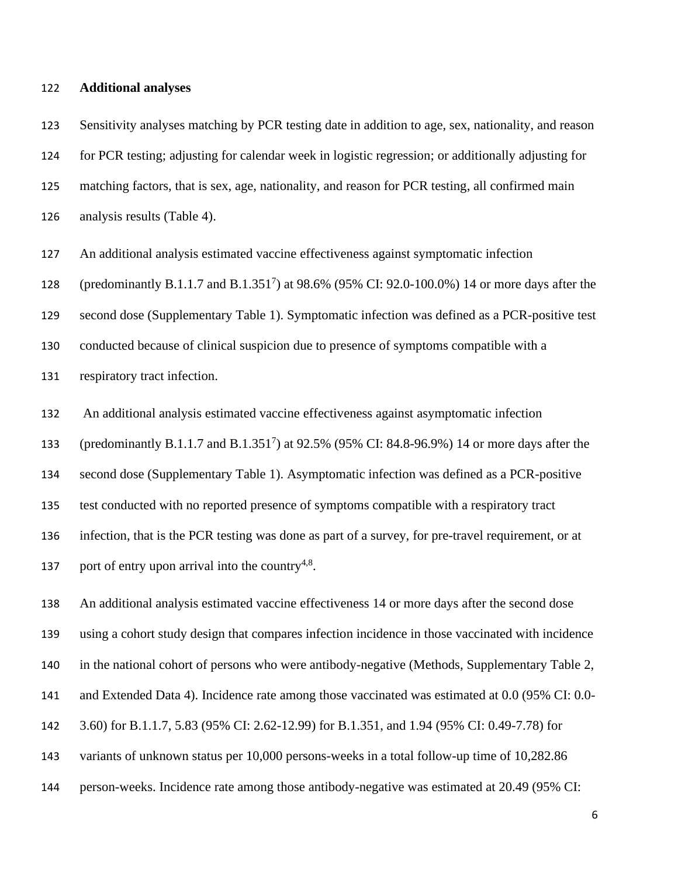#### **Additional analyses**

 Sensitivity analyses matching by PCR testing date in addition to age, sex, nationality, and reason for PCR testing; adjusting for calendar week in logistic regression; or additionally adjusting for matching factors, that is sex, age, nationality, and reason for PCR testing, all confirmed main analysis results (Table 4).

An additional analysis estimated vaccine effectiveness against symptomatic infection

128 (predominantly B.1.1.7 and B.1.351<sup>7</sup>) at 98.6% (95% CI: 92.0-100.0%) 14 or more days after the

second dose (Supplementary Table 1). Symptomatic infection was defined as a PCR-positive test

conducted because of clinical suspicion due to presence of symptoms compatible with a

respiratory tract infection.

An additional analysis estimated vaccine effectiveness against asymptomatic infection

133 (predominantly B.1.1.7 and B.1.351<sup>7</sup>) at 92.5% (95% CI: 84.8-96.9%) 14 or more days after the

second dose (Supplementary Table 1). Asymptomatic infection was defined as a PCR-positive

test conducted with no reported presence of symptoms compatible with a respiratory tract

infection, that is the PCR testing was done as part of a survey, for pre-travel requirement, or at

137 port of entry upon arrival into the country<sup>4,8</sup>.

 An additional analysis estimated vaccine effectiveness 14 or more days after the second dose using a cohort study design that compares infection incidence in those vaccinated with incidence in the national cohort of persons who were antibody-negative (Methods, Supplementary Table 2, and Extended Data 4). Incidence rate among those vaccinated was estimated at 0.0 (95% CI: 0.0- 3.60) for B.1.1.7, 5.83 (95% CI: 2.62-12.99) for B.1.351, and 1.94 (95% CI: 0.49-7.78) for variants of unknown status per 10,000 persons-weeks in a total follow-up time of 10,282.86

person-weeks. Incidence rate among those antibody-negative was estimated at 20.49 (95% CI: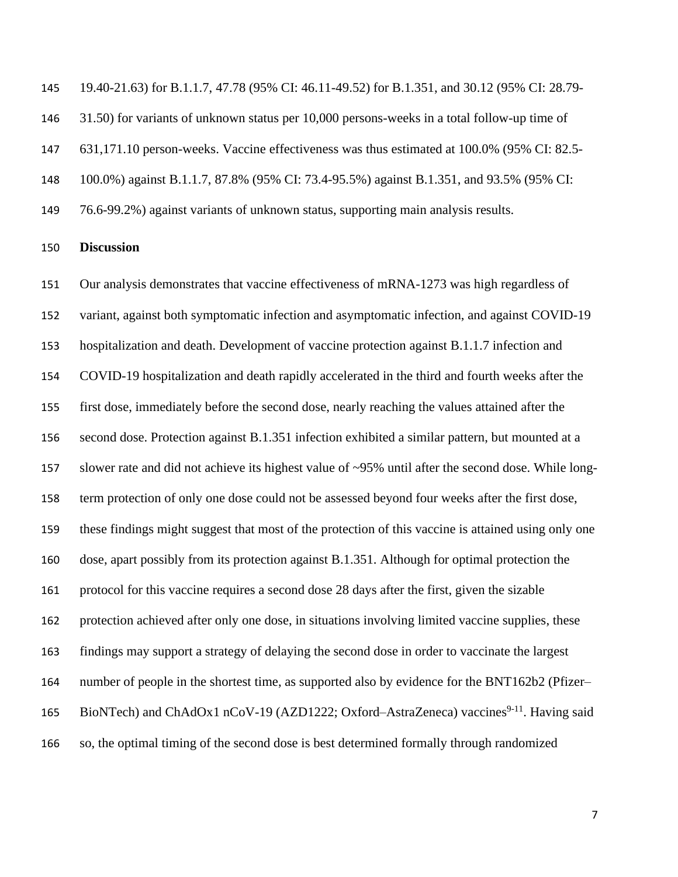19.40-21.63) for B.1.1.7, 47.78 (95% CI: 46.11-49.52) for B.1.351, and 30.12 (95% CI: 28.79-

31.50) for variants of unknown status per 10,000 persons-weeks in a total follow-up time of

631,171.10 person-weeks. Vaccine effectiveness was thus estimated at 100.0% (95% CI: 82.5-

100.0%) against B.1.1.7, 87.8% (95% CI: 73.4-95.5%) against B.1.351, and 93.5% (95% CI:

76.6-99.2%) against variants of unknown status, supporting main analysis results.

### **Discussion**

 Our analysis demonstrates that vaccine effectiveness of mRNA-1273 was high regardless of variant, against both symptomatic infection and asymptomatic infection, and against COVID-19 hospitalization and death. Development of vaccine protection against B.1.1.7 infection and COVID-19 hospitalization and death rapidly accelerated in the third and fourth weeks after the first dose, immediately before the second dose, nearly reaching the values attained after the second dose. Protection against B.1.351 infection exhibited a similar pattern, but mounted at a slower rate and did not achieve its highest value of ~95% until after the second dose. While long- term protection of only one dose could not be assessed beyond four weeks after the first dose, these findings might suggest that most of the protection of this vaccine is attained using only one dose, apart possibly from its protection against B.1.351. Although for optimal protection the protocol for this vaccine requires a second dose 28 days after the first, given the sizable protection achieved after only one dose, in situations involving limited vaccine supplies, these findings may support a strategy of delaying the second dose in order to vaccinate the largest number of people in the shortest time, as supported also by evidence for the BNT162b2 (Pfizer– 165 BioNTech) and ChAdOx1 nCoV-19 (AZD1222; Oxford–AstraZeneca) vaccines<sup>9-11</sup>. Having said so, the optimal timing of the second dose is best determined formally through randomized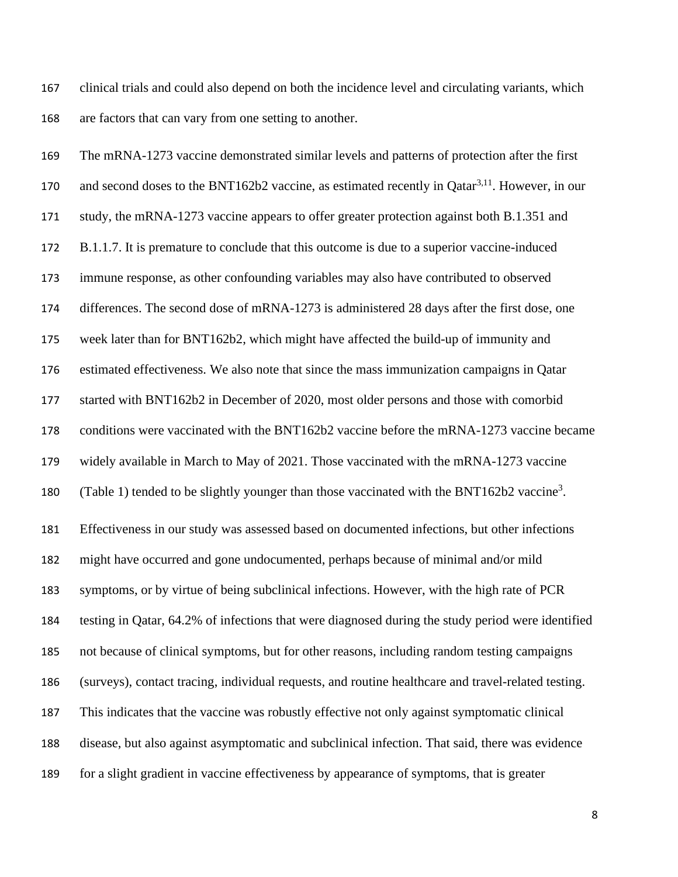clinical trials and could also depend on both the incidence level and circulating variants, which are factors that can vary from one setting to another.

 The mRNA-1273 vaccine demonstrated similar levels and patterns of protection after the first 170 and second doses to the BNT162b2 vaccine, as estimated recently in Qatar<sup>3,11</sup>. However, in our study, the mRNA-1273 vaccine appears to offer greater protection against both B.1.351 and B.1.1.7. It is premature to conclude that this outcome is due to a superior vaccine-induced immune response, as other confounding variables may also have contributed to observed differences. The second dose of mRNA-1273 is administered 28 days after the first dose, one week later than for BNT162b2, which might have affected the build-up of immunity and estimated effectiveness. We also note that since the mass immunization campaigns in Qatar started with BNT162b2 in December of 2020, most older persons and those with comorbid conditions were vaccinated with the BNT162b2 vaccine before the mRNA-1273 vaccine became widely available in March to May of 2021. Those vaccinated with the mRNA-1273 vaccine 180 (Table 1) tended to be slightly younger than those vaccinated with the BNT162b2 vaccine<sup>3</sup>. Effectiveness in our study was assessed based on documented infections, but other infections might have occurred and gone undocumented, perhaps because of minimal and/or mild symptoms, or by virtue of being subclinical infections. However, with the high rate of PCR testing in Qatar, 64.2% of infections that were diagnosed during the study period were identified not because of clinical symptoms, but for other reasons, including random testing campaigns (surveys), contact tracing, individual requests, and routine healthcare and travel-related testing. This indicates that the vaccine was robustly effective not only against symptomatic clinical disease, but also against asymptomatic and subclinical infection. That said, there was evidence for a slight gradient in vaccine effectiveness by appearance of symptoms, that is greater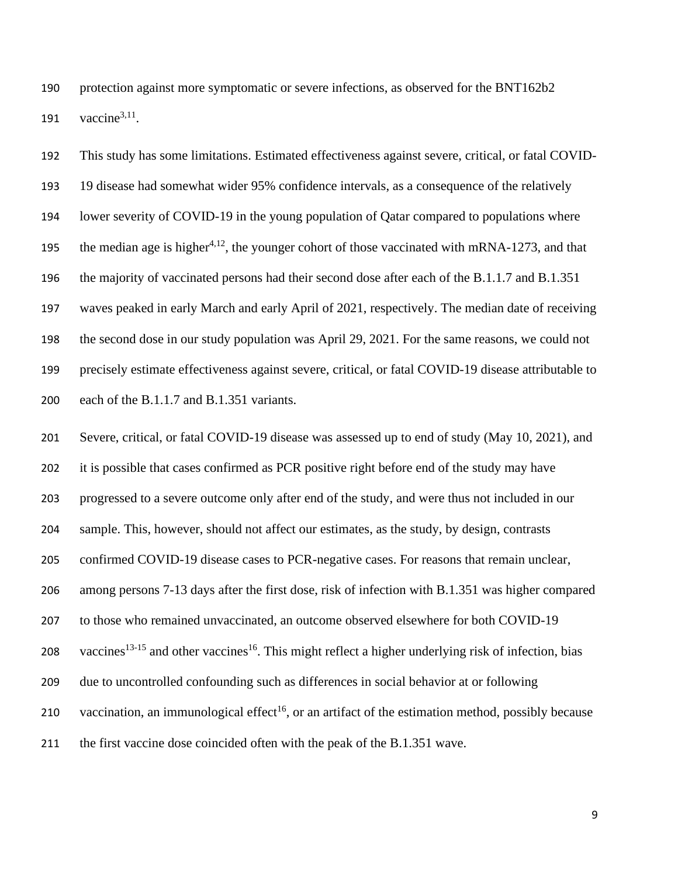protection against more symptomatic or severe infections, as observed for the BNT162b2 191 vaccine<sup>3,11</sup>.

 This study has some limitations. Estimated effectiveness against severe, critical, or fatal COVID- 19 disease had somewhat wider 95% confidence intervals, as a consequence of the relatively lower severity of COVID-19 in the young population of Qatar compared to populations where the median age is higher<sup>4,12</sup>, the younger cohort of those vaccinated with mRNA-1273, and that the majority of vaccinated persons had their second dose after each of the B.1.1.7 and B.1.351 waves peaked in early March and early April of 2021, respectively. The median date of receiving the second dose in our study population was April 29, 2021. For the same reasons, we could not precisely estimate effectiveness against severe, critical, or fatal COVID-19 disease attributable to each of the B.1.1.7 and B.1.351 variants.

 Severe, critical, or fatal COVID-19 disease was assessed up to end of study (May 10, 2021), and it is possible that cases confirmed as PCR positive right before end of the study may have progressed to a severe outcome only after end of the study, and were thus not included in our sample. This, however, should not affect our estimates, as the study, by design, contrasts confirmed COVID-19 disease cases to PCR-negative cases. For reasons that remain unclear, among persons 7-13 days after the first dose, risk of infection with B.1.351 was higher compared to those who remained unvaccinated, an outcome observed elsewhere for both COVID-19 208 vaccines<sup>13-15</sup> and other vaccines<sup>16</sup>. This might reflect a higher underlying risk of infection, bias due to uncontrolled confounding such as differences in social behavior at or following 210 vaccination, an immunological effect<sup>16</sup>, or an artifact of the estimation method, possibly because the first vaccine dose coincided often with the peak of the B.1.351 wave.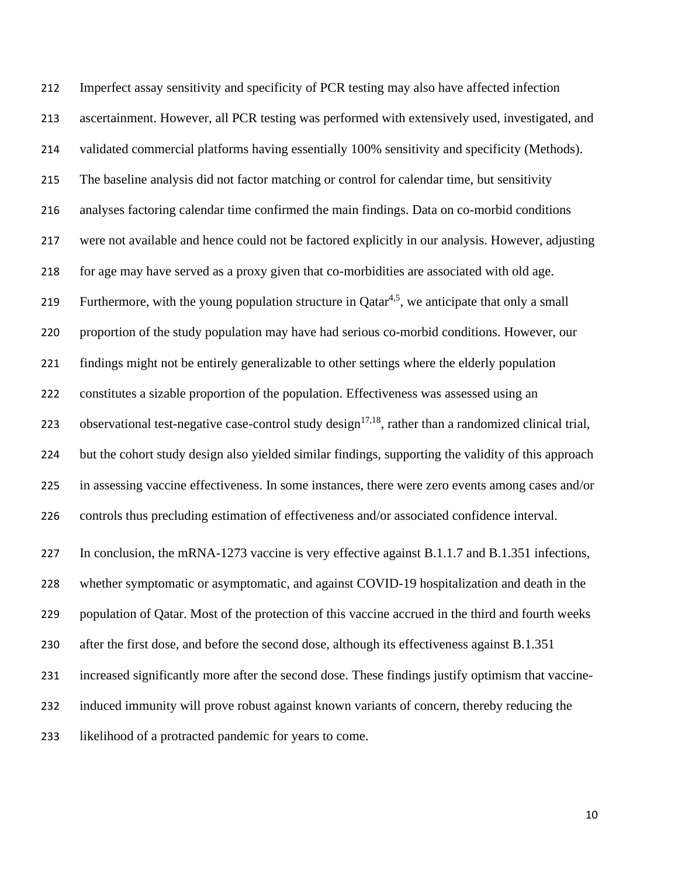Imperfect assay sensitivity and specificity of PCR testing may also have affected infection ascertainment. However, all PCR testing was performed with extensively used, investigated, and validated commercial platforms having essentially 100% sensitivity and specificity (Methods). The baseline analysis did not factor matching or control for calendar time, but sensitivity analyses factoring calendar time confirmed the main findings. Data on co-morbid conditions were not available and hence could not be factored explicitly in our analysis. However, adjusting for age may have served as a proxy given that co-morbidities are associated with old age. 219 Furthermore, with the young population structure in  $Qatar<sup>4,5</sup>$ , we anticipate that only a small proportion of the study population may have had serious co-morbid conditions. However, our findings might not be entirely generalizable to other settings where the elderly population constitutes a sizable proportion of the population. Effectiveness was assessed using an 223 observational test-negative case-control study design<sup>17,18</sup>, rather than a randomized clinical trial, but the cohort study design also yielded similar findings, supporting the validity of this approach in assessing vaccine effectiveness. In some instances, there were zero events among cases and/or controls thus precluding estimation of effectiveness and/or associated confidence interval. 227 In conclusion, the mRNA-1273 vaccine is very effective against B.1.1.7 and B.1.351 infections, whether symptomatic or asymptomatic, and against COVID-19 hospitalization and death in the population of Qatar. Most of the protection of this vaccine accrued in the third and fourth weeks after the first dose, and before the second dose, although its effectiveness against B.1.351 increased significantly more after the second dose. These findings justify optimism that vaccine- induced immunity will prove robust against known variants of concern, thereby reducing the likelihood of a protracted pandemic for years to come.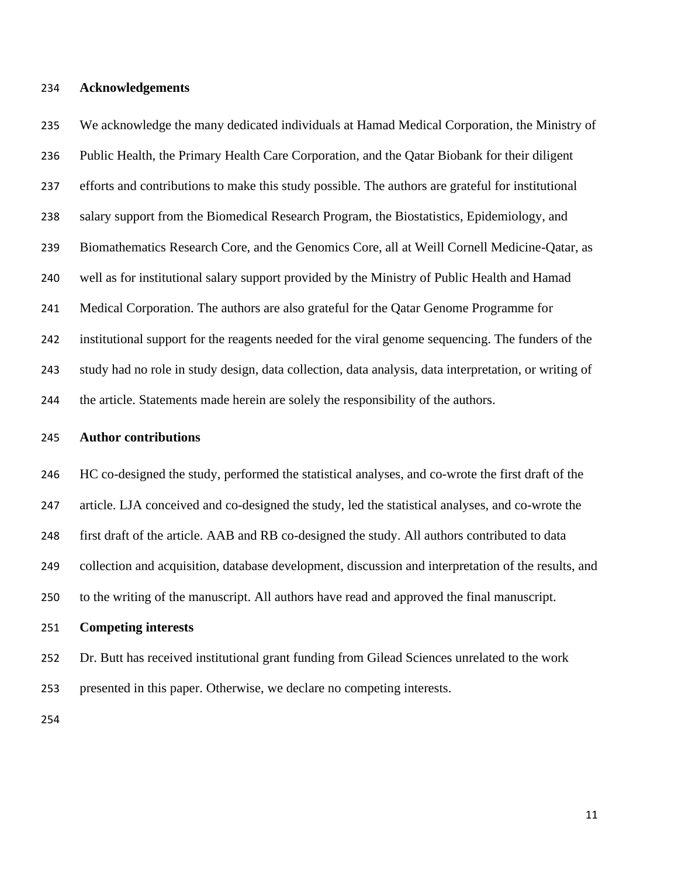#### **Acknowledgements**

 We acknowledge the many dedicated individuals at Hamad Medical Corporation, the Ministry of Public Health, the Primary Health Care Corporation, and the Qatar Biobank for their diligent efforts and contributions to make this study possible. The authors are grateful for institutional salary support from the Biomedical Research Program, the Biostatistics, Epidemiology, and Biomathematics Research Core, and the Genomics Core, all at Weill Cornell Medicine-Qatar, as well as for institutional salary support provided by the Ministry of Public Health and Hamad Medical Corporation. The authors are also grateful for the Qatar Genome Programme for institutional support for the reagents needed for the viral genome sequencing. The funders of the study had no role in study design, data collection, data analysis, data interpretation, or writing of the article. Statements made herein are solely the responsibility of the authors.

#### **Author contributions**

 HC co-designed the study, performed the statistical analyses, and co-wrote the first draft of the article. LJA conceived and co-designed the study, led the statistical analyses, and co-wrote the first draft of the article. AAB and RB co-designed the study. All authors contributed to data collection and acquisition, database development, discussion and interpretation of the results, and to the writing of the manuscript. All authors have read and approved the final manuscript.

### **Competing interests**

 Dr. Butt has received institutional grant funding from Gilead Sciences unrelated to the work presented in this paper. Otherwise, we declare no competing interests.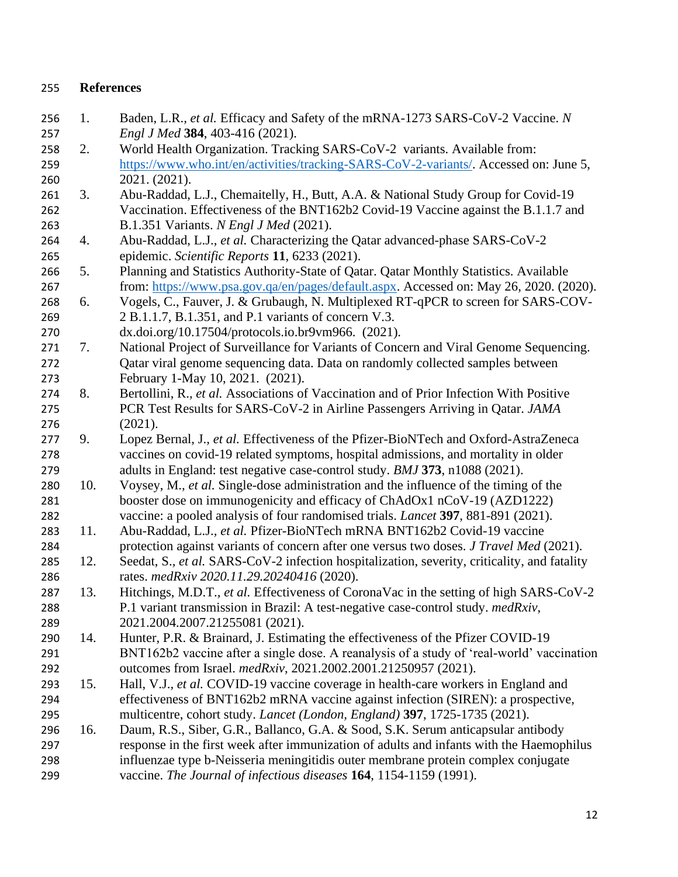# **References**

 1. Baden, L.R.*, et al.* Efficacy and Safety of the mRNA-1273 SARS-CoV-2 Vaccine. *N Engl J Med* **384**, 403-416 (2021). 2. World Health Organization. Tracking SARS-CoV-2 variants. Available from: [https://www.who.int/en/activities/tracking-SARS-CoV-2-variants/.](https://www.who.int/en/activities/tracking-SARS-CoV-2-variants/) Accessed on: June 5, 2021. (2021). 261 3. Abu-Raddad, L.J., Chemaitelly, H., Butt, A.A. & National Study Group for Covid-19 Vaccination. Effectiveness of the BNT162b2 Covid-19 Vaccine against the B.1.1.7 and B.1.351 Variants. *N Engl J Med* (2021). 4. Abu-Raddad, L.J.*, et al.* Characterizing the Qatar advanced-phase SARS-CoV-2 epidemic. *Scientific Reports* **11**, 6233 (2021). 5. Planning and Statistics Authority-State of Qatar. Qatar Monthly Statistics. Available from: [https://www.psa.gov.qa/en/pages/default.aspx.](https://www.psa.gov.qa/en/pages/default.aspx) Accessed on: May 26, 2020. (2020). 6. Vogels, C., Fauver, J. & Grubaugh, N. Multiplexed RT-qPCR to screen for SARS-COV- 2 B.1.1.7, B.1.351, and P.1 variants of concern V.3. dx.doi.org/10.17504/protocols.io.br9vm966. (2021). 7. National Project of Surveillance for Variants of Concern and Viral Genome Sequencing. Qatar viral genome sequencing data. Data on randomly collected samples between February 1-May 10, 2021. (2021). 8. Bertollini, R.*, et al.* Associations of Vaccination and of Prior Infection With Positive PCR Test Results for SARS-CoV-2 in Airline Passengers Arriving in Qatar. *JAMA* (2021). 9. Lopez Bernal, J.*, et al.* Effectiveness of the Pfizer-BioNTech and Oxford-AstraZeneca vaccines on covid-19 related symptoms, hospital admissions, and mortality in older adults in England: test negative case-control study. *BMJ* **373**, n1088 (2021). 10. Voysey, M.*, et al.* Single-dose administration and the influence of the timing of the booster dose on immunogenicity and efficacy of ChAdOx1 nCoV-19 (AZD1222) vaccine: a pooled analysis of four randomised trials. *Lancet* **397**, 881-891 (2021). 11. Abu-Raddad, L.J.*, et al.* Pfizer-BioNTech mRNA BNT162b2 Covid-19 vaccine protection against variants of concern after one versus two doses. *J Travel Med* (2021). 12. Seedat, S.*, et al.* SARS-CoV-2 infection hospitalization, severity, criticality, and fatality rates. *medRxiv 2020.11.29.20240416* (2020). 13. Hitchings, M.D.T.*, et al.* Effectiveness of CoronaVac in the setting of high SARS-CoV-2 P.1 variant transmission in Brazil: A test-negative case-control study. *medRxiv*, 2021.2004.2007.21255081 (2021). 14. Hunter, P.R. & Brainard, J. Estimating the effectiveness of the Pfizer COVID-19 BNT162b2 vaccine after a single dose. A reanalysis of a study of 'real-world' vaccination outcomes from Israel. *medRxiv*, 2021.2002.2001.21250957 (2021). 15. Hall, V.J.*, et al.* COVID-19 vaccine coverage in health-care workers in England and effectiveness of BNT162b2 mRNA vaccine against infection (SIREN): a prospective, multicentre, cohort study. *Lancet (London, England)* **397**, 1725-1735 (2021). 16. Daum, R.S., Siber, G.R., Ballanco, G.A. & Sood, S.K. Serum anticapsular antibody response in the first week after immunization of adults and infants with the Haemophilus influenzae type b-Neisseria meningitidis outer membrane protein complex conjugate vaccine. *The Journal of infectious diseases* **164**, 1154-1159 (1991).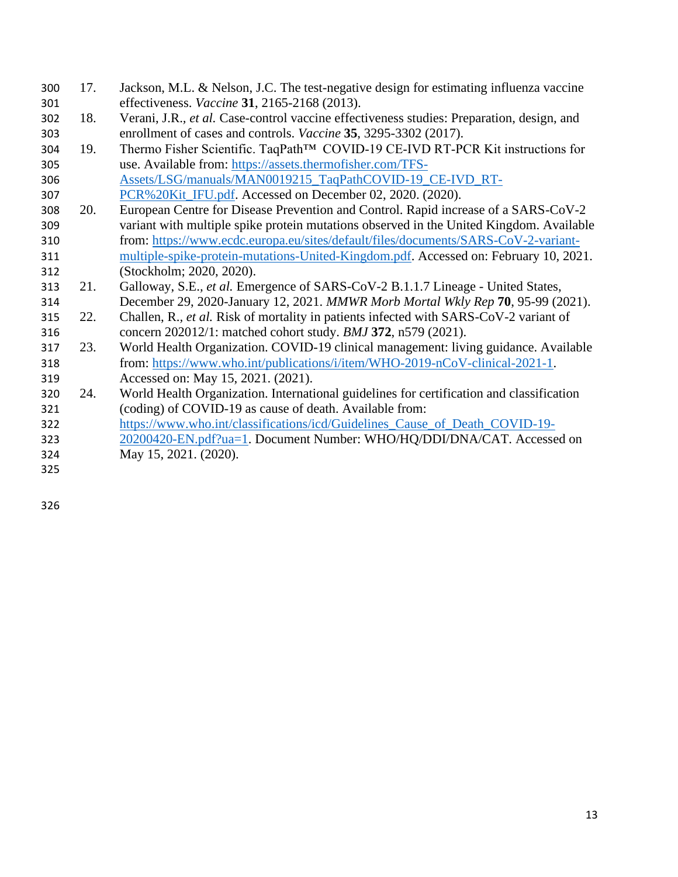- 17. Jackson, M.L. & Nelson, J.C. The test-negative design for estimating influenza vaccine effectiveness. *Vaccine* **31**, 2165-2168 (2013).
- 18. Verani, J.R.*, et al.* Case-control vaccine effectiveness studies: Preparation, design, and enrollment of cases and controls. *Vaccine* **35**, 3295-3302 (2017).
- 304 19. Thermo Fisher Scientific. TaqPath<sup>™</sup> COVID-19 CE-IVD RT-PCR Kit instructions for use. Available from: [https://assets.thermofisher.com/TFS-](https://assets.thermofisher.com/TFS-Assets/LSG/manuals/MAN0019215_TaqPathCOVID-19_CE-IVD_RT-PCR%20Kit_IFU.pdf)[Assets/LSG/manuals/MAN0019215\\_TaqPathCOVID-19\\_CE-IVD\\_RT-](https://assets.thermofisher.com/TFS-Assets/LSG/manuals/MAN0019215_TaqPathCOVID-19_CE-IVD_RT-PCR%20Kit_IFU.pdf)
- [PCR%20Kit\\_IFU.pdf.](https://assets.thermofisher.com/TFS-Assets/LSG/manuals/MAN0019215_TaqPathCOVID-19_CE-IVD_RT-PCR%20Kit_IFU.pdf) Accessed on December 02, 2020. (2020).
- 20. European Centre for Disease Prevention and Control. Rapid increase of a SARS-CoV-2 variant with multiple spike protein mutations observed in the United Kingdom. Available from: [https://www.ecdc.europa.eu/sites/default/files/documents/SARS-CoV-2-variant-](https://www.ecdc.europa.eu/sites/default/files/documents/SARS-CoV-2-variant-multiple-spike-protein-mutations-United-Kingdom.pdf) [multiple-spike-protein-mutations-United-Kingdom.pdf.](https://www.ecdc.europa.eu/sites/default/files/documents/SARS-CoV-2-variant-multiple-spike-protein-mutations-United-Kingdom.pdf) Accessed on: February 10, 2021. (Stockholm; 2020, 2020).
- 21. Galloway, S.E.*, et al.* Emergence of SARS-CoV-2 B.1.1.7 Lineage United States,
- December 29, 2020-January 12, 2021. *MMWR Morb Mortal Wkly Rep* **70**, 95-99 (2021).
- 22. Challen, R.*, et al.* Risk of mortality in patients infected with SARS-CoV-2 variant of concern 202012/1: matched cohort study. *BMJ* **372**, n579 (2021).
- 23. World Health Organization. COVID-19 clinical management: living guidance. Available from: [https://www.who.int/publications/i/item/WHO-2019-nCoV-clinical-2021-1.](https://www.who.int/publications/i/item/WHO-2019-nCoV-clinical-2021-1)
- Accessed on: May 15, 2021. (2021).
- 24. World Health Organization. International guidelines for certification and classification (coding) of COVID-19 as cause of death. Available from:
- [https://www.who.int/classifications/icd/Guidelines\\_Cause\\_of\\_Death\\_COVID-19-](https://www.who.int/classifications/icd/Guidelines_Cause_of_Death_COVID-19-20200420-EN.pdf?ua=1)
- [20200420-EN.pdf?ua=1.](https://www.who.int/classifications/icd/Guidelines_Cause_of_Death_COVID-19-20200420-EN.pdf?ua=1) Document Number: WHO/HQ/DDI/DNA/CAT. Accessed on May 15, 2021. (2020).
-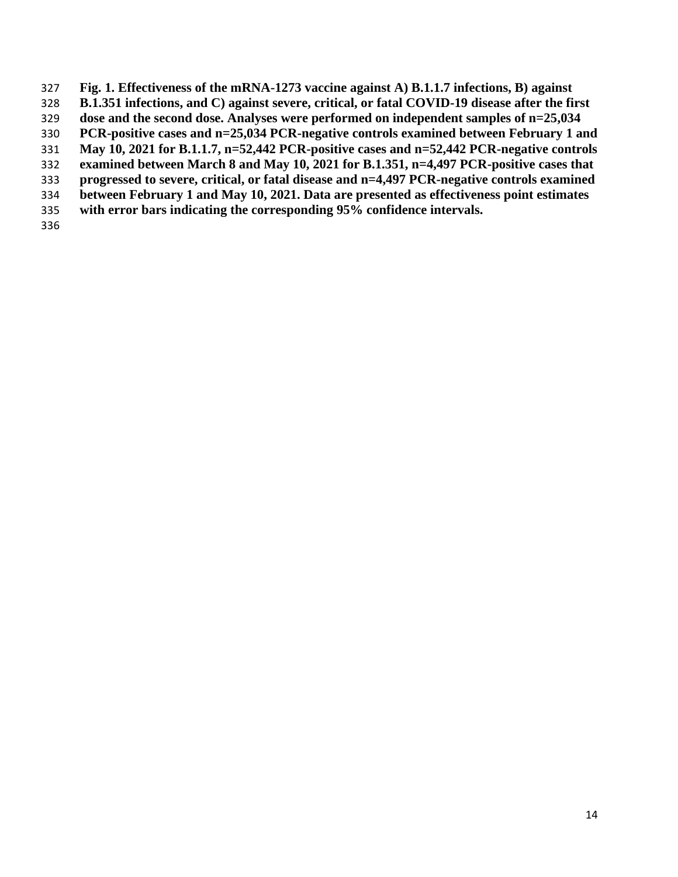- **Fig. 1. Effectiveness of the mRNA-1273 vaccine against A) B.1.1.7 infections, B) against**
- **B.1.351 infections, and C) against severe, critical, or fatal COVID-19 disease after the first**
- **dose and the second dose. Analyses were performed on independent samples of n=25,034**
- **PCR-positive cases and n=25,034 PCR-negative controls examined between February 1 and**
- **May 10, 2021 for B.1.1.7, n=52,442 PCR-positive cases and n=52,442 PCR-negative controls**
- **examined between March 8 and May 10, 2021 for B.1.351, n=4,497 PCR-positive cases that**
- **progressed to severe, critical, or fatal disease and n=4,497 PCR-negative controls examined**
- **between February 1 and May 10, 2021. Data are presented as effectiveness point estimates**
- **with error bars indicating the corresponding 95% confidence intervals.**
-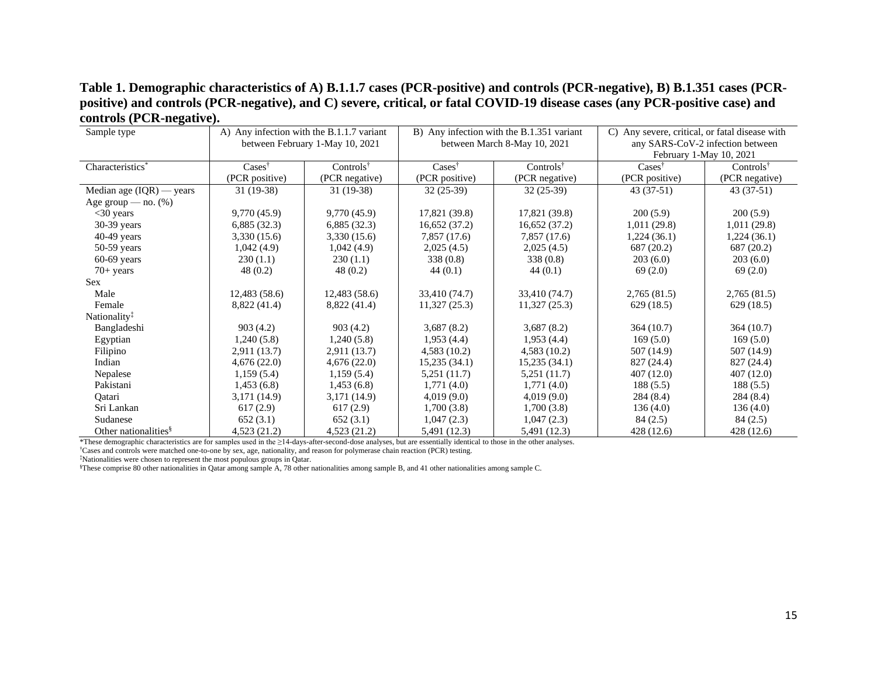# **Table 1. Demographic characteristics of A) B.1.1.7 cases (PCR-positive) and controls (PCR-negative), B) B.1.351 cases (PCRpositive) and controls (PCR-negative), and C) severe, critical, or fatal COVID-19 disease cases (any PCR-positive case) and controls (PCR-negative).**

| Sample type                      | A) Any infection with the B.1.1.7 variant |                                          |                            | B) Any infection with the B.1.351 variant | C) Any severe, critical, or fatal disease with |                                  |  |  |
|----------------------------------|-------------------------------------------|------------------------------------------|----------------------------|-------------------------------------------|------------------------------------------------|----------------------------------|--|--|
|                                  |                                           | between February 1-May 10, 2021          |                            | between March 8-May 10, 2021              |                                                | any SARS-CoV-2 infection between |  |  |
|                                  |                                           |                                          |                            |                                           | February 1-May 10, 2021                        |                                  |  |  |
| Characteristics*                 | Cases <sup>†</sup>                        | Controls <sup><math>\dagger</math></sup> | $\text{Case} \}^{\dagger}$ | $Controls^{\dagger}$                      | $\text{Case} \}^{\dagger}$                     | Controls $\dagger$               |  |  |
|                                  | (PCR positive)                            | (PCR negative)                           | (PCR positive)             | (PCR negative)                            | (PCR positive)                                 | (PCR negative)                   |  |  |
| Median age $(IQR)$ — years       | $31(19-38)$                               | 31 (19-38)                               | $32(25-39)$                | $32(25-39)$                               | $43(37-51)$                                    | $43(37-51)$                      |  |  |
| Age group — $no.$ (%)            |                                           |                                          |                            |                                           |                                                |                                  |  |  |
| $<$ 30 years                     | 9,770 (45.9)                              | 9,770(45.9)                              | 17,821 (39.8)              | 17,821 (39.8)                             | 200(5.9)                                       | 200(5.9)                         |  |  |
| 30-39 years                      | 6,885(32.3)                               | 6,885(32.3)                              | 16,652(37.2)               | 16,652(37.2)                              | 1,011(29.8)                                    | 1,011(29.8)                      |  |  |
| $40-49$ years                    | 3,330 (15.6)                              | 3,330(15.6)                              | 7,857 (17.6)               | 7,857 (17.6)                              | 1,224(36.1)                                    | 1,224(36.1)                      |  |  |
| $50-59$ years                    | 1,042(4.9)                                | 1,042(4.9)                               | 2,025(4.5)                 | 2,025(4.5)                                | 687 (20.2)                                     | 687 (20.2)                       |  |  |
| $60-69$ years                    | 230(1.1)                                  | 230(1.1)                                 | 338(0.8)                   | 338(0.8)                                  | 203(6.0)                                       | 203(6.0)                         |  |  |
| $70+$ years                      | 48(0.2)                                   | 48(0.2)                                  | 44(0.1)                    | 44(0.1)                                   | 69(2.0)                                        | 69(2.0)                          |  |  |
| <b>Sex</b>                       |                                           |                                          |                            |                                           |                                                |                                  |  |  |
| Male                             | 12,483(58.6)                              | 12,483(58.6)                             | 33,410 (74.7)              | 33,410 (74.7)                             | 2,765(81.5)                                    | 2,765(81.5)                      |  |  |
| Female                           | 8,822 (41.4)                              | 8,822 (41.4)                             | 11,327(25.3)               | 11,327(25.3)                              | 629(18.5)                                      | 629(18.5)                        |  |  |
| Nationality <sup>‡</sup>         |                                           |                                          |                            |                                           |                                                |                                  |  |  |
| Bangladeshi                      | 903(4.2)                                  | 903(4.2)                                 | 3,687(8.2)                 | 3,687(8.2)                                | 364 (10.7)                                     | 364(10.7)                        |  |  |
| Egyptian                         | 1,240(5.8)                                | 1,240(5.8)                               | 1,953(4.4)                 | 1,953(4.4)                                | 169(5.0)                                       | 169(5.0)                         |  |  |
| Filipino                         | 2,911 (13.7)                              | 2,911 (13.7)                             | 4,583(10.2)                | 4,583(10.2)                               | 507 (14.9)                                     | 507 (14.9)                       |  |  |
| Indian                           | 4,676(22.0)                               | 4,676(22.0)                              | 15,235(34.1)               | 15,235(34.1)                              | 827 (24.4)                                     | 827 (24.4)                       |  |  |
| Nepalese                         | 1,159(5.4)                                | 1,159(5.4)                               | 5,251 (11.7)               | 5,251(11.7)                               | 407(12.0)                                      | 407(12.0)                        |  |  |
| Pakistani                        | 1,453(6.8)                                | 1,453(6.8)                               | 1,771(4.0)                 | 1,771(4.0)                                | 188(5.5)                                       | 188(5.5)                         |  |  |
| Oatari                           | 3,171 (14.9)                              | 3,171 (14.9)                             | 4,019(9.0)                 | 4,019(9.0)                                | 284(8.4)                                       | 284(8.4)                         |  |  |
| Sri Lankan                       | 617(2.9)                                  | 617(2.9)                                 | 1,700(3.8)                 | 1,700(3.8)                                | 136(4.0)                                       | 136(4.0)                         |  |  |
| Sudanese                         | 652(3.1)                                  | 652(3.1)                                 | 1,047(2.3)                 | 1,047(2.3)                                | 84(2.5)                                        | 84(2.5)                          |  |  |
| Other nationalities <sup>§</sup> | 4,523 (21.2)                              | 4,523(21.2)                              | 5,491 (12.3)               | 5,491 (12.3)                              | 428 (12.6)                                     | 428 (12.6)                       |  |  |

\*These demographic characteristics are for samples used in the ≥14-days-after-second-dose analyses, but are essentially identical to those in the other analyses.

†Cases and controls were matched one-to-one by sex, age, nationality, and reason for polymerase chain reaction (PCR) testing.

‡Nationalities were chosen to represent the most populous groups in Qatar.

§These comprise 80 other nationalities in Qatar among sample A, 78 other nationalities among sample B, and 41 other nationalities among sample C.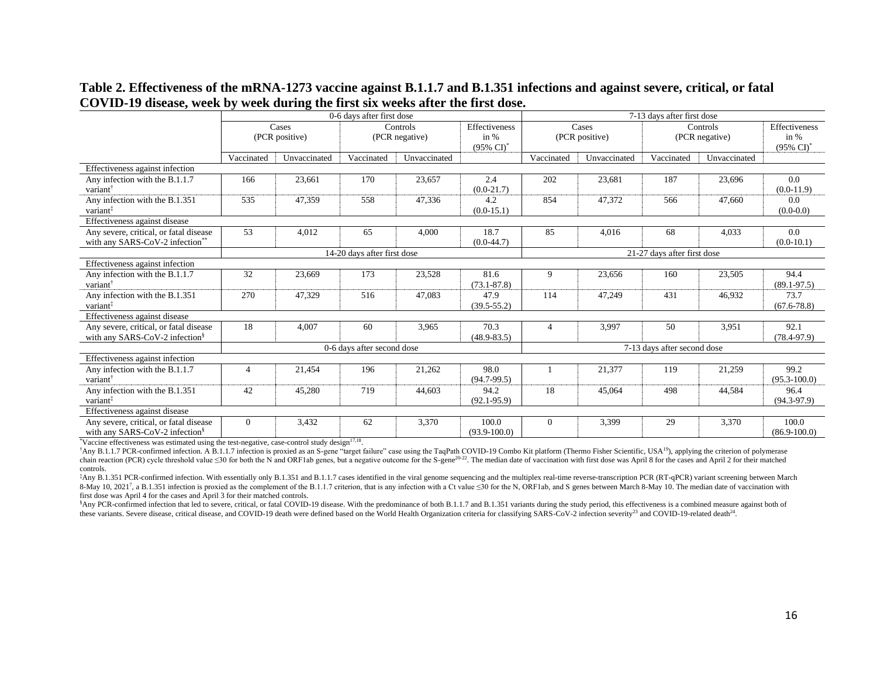|                                                                                      | 0-6 days after first dose |                             |                            |                            |                           |                             | 7-13 days after first dose  |                            |              |                                                |  |  |
|--------------------------------------------------------------------------------------|---------------------------|-----------------------------|----------------------------|----------------------------|---------------------------|-----------------------------|-----------------------------|----------------------------|--------------|------------------------------------------------|--|--|
|                                                                                      | Cases<br>(PCR positive)   |                             |                            | Controls<br>(PCR negative) |                           | Cases<br>(PCR positive)     |                             | Controls<br>(PCR negative) |              | Effectiveness<br>in %<br>$(95\% \text{ Cl})^*$ |  |  |
|                                                                                      | Vaccinated                | Unvaccinated                | Vaccinated                 | Unvaccinated               |                           | Vaccinated                  | Unvaccinated                | Vaccinated                 | Unvaccinated |                                                |  |  |
| Effectiveness against infection                                                      |                           |                             |                            |                            |                           |                             |                             |                            |              |                                                |  |  |
| Any infection with the B.1.1.7<br>variant                                            | 166                       | 23,661                      | 170                        | 23,657                     | 2.4<br>$(0.0-21.7)$       | 202                         | 23,681                      | 187                        | 23,696       | 0.0<br>$(0.0-11.9)$                            |  |  |
| Any infection with the B.1.351<br>variant <sup>#</sup>                               | 535                       | 47,359                      | 558                        | 47,336                     | 4.2<br>$(0.0-15.1)$       | 854                         | 47,372                      | 566                        | 47,660       | 0.0<br>$(0.0-0.0)$                             |  |  |
| Effectiveness against disease                                                        |                           |                             |                            |                            |                           |                             |                             |                            |              |                                                |  |  |
| Any severe, critical, or fatal disease<br>with any SARS-CoV-2 infection**            | 53                        | 4,012                       | 65                         | 4,000                      | 18.7<br>$(0.0-44.7)$      | 85                          | 4,016                       | 68                         | 4,033        | 0.0<br>$(0.0-10.1)$                            |  |  |
|                                                                                      |                           | 14-20 days after first dose |                            |                            |                           |                             | 21-27 days after first dose |                            |              |                                                |  |  |
| Effectiveness against infection                                                      |                           |                             |                            |                            |                           |                             |                             |                            |              |                                                |  |  |
| Any infection with the B.1.1.7<br>variant                                            | 32                        | 23,669                      | 173                        | 23,528                     | 81.6<br>$(73.1 - 87.8)$   | 9                           | 23,656                      | 160                        | 23,505       | 94.4<br>$(89.1 - 97.5)$                        |  |  |
| Any infection with the B.1.351<br>variant <sup>3</sup>                               | 270                       | 47,329                      | 516                        | 47,083                     | 47.9<br>$(39.5 - 55.2)$   | 114                         | 47,249                      | 431                        | 46,932       | 73.7<br>$(67.6 - 78.8)$                        |  |  |
| Effectiveness against disease                                                        |                           |                             |                            |                            |                           |                             |                             |                            |              |                                                |  |  |
| Any severe, critical, or fatal disease<br>with any SARS-CoV-2 infection <sup>§</sup> | 18                        | 4,007                       | 60                         | 3,965                      | 70.3<br>$(48.9 - 83.5)$   | $\overline{4}$              | 3,997                       | 50                         | 3.951        | 92.1<br>$(78.4 - 97.9)$                        |  |  |
|                                                                                      |                           |                             | 0-6 days after second dose |                            |                           | 7-13 days after second dose |                             |                            |              |                                                |  |  |
| Effectiveness against infection                                                      |                           |                             |                            |                            |                           |                             |                             |                            |              |                                                |  |  |
| Any infection with the B.1.1.7<br>variant <sup>†</sup>                               |                           | 21,454                      | 196                        | 21,262                     | 98.0<br>$(94.7-99.5)$     |                             | 21,377                      | 119                        | 21,259       | 99.2<br>$(95.3 - 100.0)$                       |  |  |
| Any infection with the B.1.351<br>variant <sup>†</sup>                               | 42                        | 45,280                      | 719                        | 44,603                     | 94.2<br>$(92.1 - 95.9)$   | 18                          | 45,064                      | 498                        | 44,584       | 96.4<br>$(94.3-97.9)$                          |  |  |
| Effectiveness against disease                                                        |                           |                             |                            |                            |                           |                             |                             |                            |              |                                                |  |  |
| Any severe, critical, or fatal disease<br>with any SARS-CoV-2 infection <sup>§</sup> | $\Omega$                  | 3,432                       | 62                         | 3,370                      | 100.0<br>$(93.9 - 100.0)$ | $\overline{0}$              | 3,399                       | 29                         | 3,370        | 100.0<br>$(86.9 - 100.0)$                      |  |  |

# **Table 2. Effectiveness of the mRNA-1273 vaccine against B.1.1.7 and B.1.351 infections and against severe, critical, or fatal COVID-19 disease, week by week during the first six weeks after the first dose.**

 $\text{"Vaccine effectiveness was estimated using the test-negative, case-control study design<sup>17,18</sup>.}$ 

†Any B.1.1.7 PCR-confirmed infection. A B.1.1.7 infection is proxied as an S-gene "target failure" case using the TaqPath COVID-19 Combo Kit platform (Thermo Fisher Scientific, USA<sup>19</sup>), applying the criterion of polymerase chain reaction (PCR) cycle threshold value ≤30 for both the N and ORF1ab genes, but a negative outcome for the S-gene<sup>20,22</sup>. The median date of vaccination with first dose was April 8 for the cases and April 2 for their controls.

‡Any B.1.351 PCR-confirmed infection. With essentially only B.1.351 and B.1.1.7 cases identified in the viral genome sequencing and the multiplex real-time reverse-transcription PCR (RT-qPCR) variant screening between March 8-May 10, 2021<sup>7</sup>, a B.1.351 infection is proxied as the complement of the B.1.1.7 criterion, that is any infection with a Ct value ≤30 for the N, ORF1ab, and S genes between March 8-May 10. The median date of vaccination first dose was April 4 for the cases and April 3 for their matched controls.

\$Any PCR-confirmed infection that led to severe, critical, or fatal COVID-19 disease. With the predominance of both B.1.1.7 and B.1.351 variants during the study period, this effectiveness is a combined measure against bot these variants. Severe disease, critical disease, and COVID-19 death were defined based on the World Health Organization criteria for classifying SARS-CoV-2 infection severity<sup>23</sup> and COVID-19-related death<sup>24</sup>.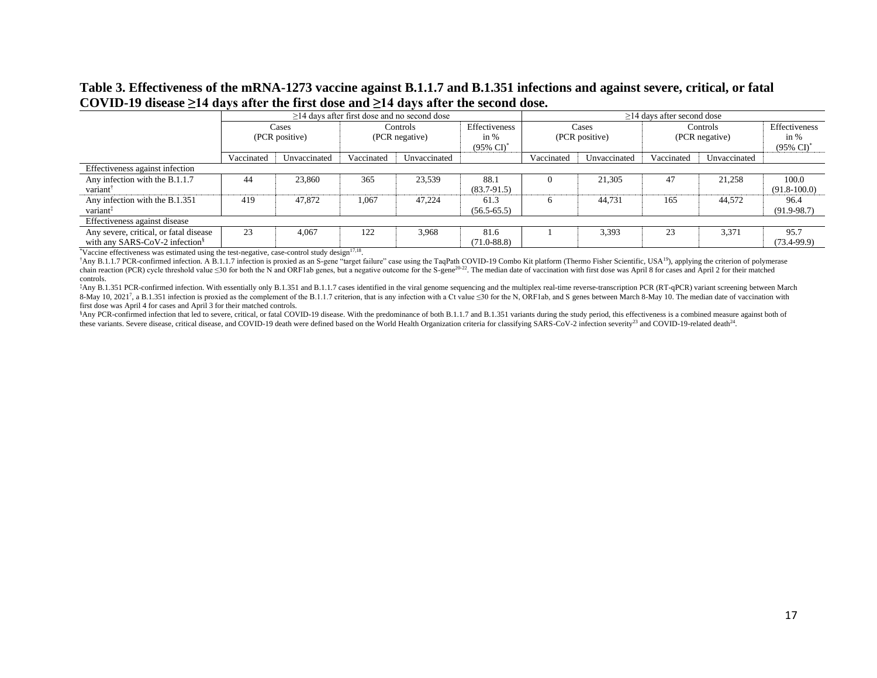# **Table 3. Effectiveness of the mRNA-1273 vaccine against B.1.1.7 and B.1.351 infections and against severe, critical, or fatal COVID-19 disease ≥14 days after the first dose and ≥14 days after the second dose.**

|                                                                                      |                         |              |                            | $\geq$ 14 days after first dose and no second dose |                                                  | $\geq$ 14 days after second dose |              |                            |              |                                                  |
|--------------------------------------------------------------------------------------|-------------------------|--------------|----------------------------|----------------------------------------------------|--------------------------------------------------|----------------------------------|--------------|----------------------------|--------------|--------------------------------------------------|
|                                                                                      | Cases<br>(PCR positive) |              | Controls<br>(PCR negative) |                                                    | Effectiveness<br>in $%$<br>$(95\% \text{ CI})^*$ | Cases<br>(PCR positive)          |              | Controls<br>(PCR negative) |              | Effectiveness<br>in $%$<br>$(95\% \text{ CI})^*$ |
|                                                                                      | Vaccinated              | Unvaccinated | Vaccinated                 | Unvaccinated                                       |                                                  | Vaccinated                       | Unvaccinated | Vaccinated                 | Unvaccinated |                                                  |
| Effectiveness against infection                                                      |                         |              |                            |                                                    |                                                  |                                  |              |                            |              |                                                  |
| Any infection with the B.1.1.7<br>variant                                            | 44                      | 23,860       | 365                        | 23,539                                             | 88.1<br>$(83.7 - 91.5)$                          |                                  | 21,305       | 47                         | 21,258       | 100.0<br>$(91.8-100.0)$                          |
| Any infection with the B.1.351<br>variant <sup>1</sup>                               | 419                     | 47,872       | 1,067                      | 47.224                                             | 61.3<br>$(56.5 - 65.5)$                          | 6                                | 44,731       | 165                        | 44,572       | 96.4<br>$(91.9 - 98.7)$                          |
| Effectiveness against disease                                                        |                         |              |                            |                                                    |                                                  |                                  |              |                            |              |                                                  |
| Any severe, critical, or fatal disease<br>with any SARS-CoV-2 infection <sup>§</sup> | 23                      | 4,067        | 122                        | 3,968                                              | 81.6<br>$(71.0 - 88.8)$                          |                                  | 3.393        | 23                         | 3,371        | 95.7<br>$(73.4-99.9)$                            |

 $*$ Vaccine effectiveness was estimated using the test-negative, case-control study design $17,18$ .

†Any B.1.1.7 PCR-confirmed infection. A B.1.1.7 infection is proxied as an S-gene "target failure" case using the TaqPath COVID-19 Combo Kit platform (Thermo Fisher Scientific, USA<sup>19</sup>), applying the criterion of polymerase chain reaction (PCR) cycle threshold value  $\leq 30$  for both the N and ORF1ab genes, but a negative outcome for the S-gene<sup>20-22</sup>. The median date of vaccination with first dose was April 8 for cases and April 2 for their controls.

‡Any B.1.351 PCR-confirmed infection. With essentially only B.1.351 and B.1.1.7 cases identified in the viral genome sequencing and the multiplex real-time reverse-transcription PCR (RT-qPCR) variant screening between March 8-May 10, 20217, a B.1.351 infection is proxied as the complement of the B.1.1.7 criterion, that is any infection with a Ct value ≤30 for the N, ORF1ab, and S genes between March 8-May 10. The median date of vaccination w first dose was April 4 for cases and April 3 for their matched controls.

\$Any PCR-confirmed infection that led to severe, critical, or fatal COVID-19 disease. With the predominance of both B.1.1.7 and B.1.351 variants during the study period, this effectiveness is a combined measure against bot these variants. Severe disease, critical disease, and COVID-19 death were defined based on the World Health Organization criteria for classifying SARS-CoV-2 infection severity<sup>23</sup> and COVID-19-related death<sup>24</sup>.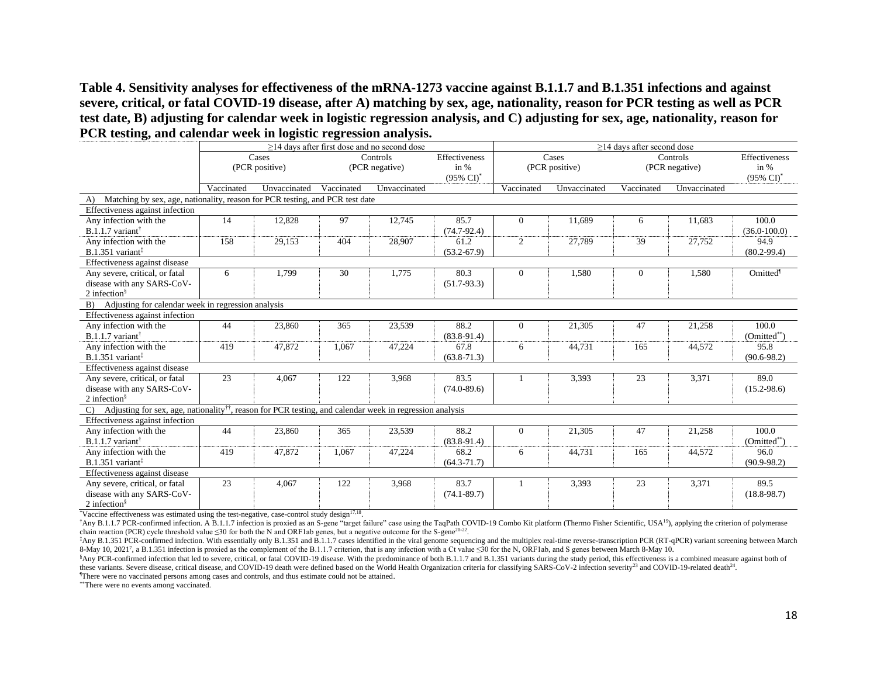**Table 4. Sensitivity analyses for effectiveness of the mRNA-1273 vaccine against B.1.1.7 and B.1.351 infections and against severe, critical, or fatal COVID-19 disease, after A) matching by sex, age, nationality, reason for PCR testing as well as PCR test date, B) adjusting for calendar week in logistic regression analysis, and C) adjusting for sex, age, nationality, reason for PCR testing, and calendar week in logistic regression analysis.** 

| 94                                                                                                                                    | $\geq$ 14 days after first dose and no second dose |                         |            |                                   |                                                |              | $\geq$ 14 days after second dose |                |                            |                                                  |  |
|---------------------------------------------------------------------------------------------------------------------------------------|----------------------------------------------------|-------------------------|------------|-----------------------------------|------------------------------------------------|--------------|----------------------------------|----------------|----------------------------|--------------------------------------------------|--|
|                                                                                                                                       |                                                    | Cases<br>(PCR positive) |            | <b>Controls</b><br>(PCR negative) | Effectiveness<br>in %<br>$(95\% \text{ Cl})^*$ |              | Cases<br>(PCR positive)          |                | Controls<br>(PCR negative) | Effectiveness<br>in $%$<br>$(95\% \text{ Cl})^*$ |  |
|                                                                                                                                       | Vaccinated                                         | Unvaccinated            | Vaccinated | Unvaccinated                      |                                                | Vaccinated   | Unvaccinated                     | Vaccinated     | Unvaccinated               |                                                  |  |
| Matching by sex, age, nationality, reason for PCR testing, and PCR test date<br>A)                                                    |                                                    |                         |            |                                   |                                                |              |                                  |                |                            |                                                  |  |
| Effectiveness against infection                                                                                                       |                                                    |                         |            |                                   |                                                |              |                                  |                |                            |                                                  |  |
| Any infection with the<br>$B.1.1.7$ variant <sup>†</sup>                                                                              | 14                                                 | 12,828                  | 97         | 12,745                            | 85.7<br>$(74.7 - 92.4)$                        | $\Omega$     | 11,689                           | 6              | 11,683                     | 100.0<br>$(36.0 - 100.0)$                        |  |
| Any infection with the<br>$B.1.351$ variant <sup>‡</sup>                                                                              | 158                                                | 29,153                  | 404        | 28,907                            | 61.2<br>$(53.2 - 67.9)$                        | $\mathbf{2}$ | 27,789                           | 39             | 27,752                     | 94.9<br>$(80.2 - 99.4)$                          |  |
| Effectiveness against disease                                                                                                         |                                                    |                         |            |                                   |                                                |              |                                  |                |                            |                                                  |  |
| Any severe, critical, or fatal<br>disease with any SARS-CoV-<br>2 infection $\frac{8}{3}$                                             | 6                                                  | 1,799                   | 30         | 1,775                             | 80.3<br>$(51.7-93.3)$                          | $\Omega$     | 1,580                            | $\overline{0}$ | 1,580                      | Omitted                                          |  |
| Adjusting for calendar week in regression analysis<br>B)                                                                              |                                                    |                         |            |                                   |                                                |              |                                  |                |                            |                                                  |  |
| Effectiveness against infection                                                                                                       |                                                    |                         |            |                                   |                                                |              |                                  |                |                            |                                                  |  |
| Any infection with the<br>$B.1.1.7$ variant <sup>†</sup>                                                                              | 44                                                 | 23,860                  | 365        | 23,539                            | 88.2<br>$(83.8-91.4)$                          | $\Omega$     | 21,305                           | 47             | 21,258                     | 100.0<br>$(Omitted^{**})$                        |  |
| Any infection with the<br>$B.1.351$ variant <sup>‡</sup>                                                                              | 419                                                | 47,872                  | 1,067      | 47,224                            | 67.8<br>$(63.8 - 71.3)$                        | 6            | 44,731                           | 165            | 44,572                     | 95.8<br>$(90.6 - 98.2)$                          |  |
| Effectiveness against disease                                                                                                         |                                                    |                         |            |                                   |                                                |              |                                  |                |                            |                                                  |  |
| Any severe, critical, or fatal<br>disease with any SARS-CoV-<br>2 infection $\frac{8}{3}$                                             | 23                                                 | 4,067                   | 122        | 3,968                             | 83.5<br>$(74.0 - 89.6)$                        |              | 3,393                            | 23             | 3,371                      | 89.0<br>$(15.2 - 98.6)$                          |  |
| Adjusting for sex, age, nationality <sup>††</sup> , reason for PCR testing, and calendar week in regression analysis<br>$\mathcal{C}$ |                                                    |                         |            |                                   |                                                |              |                                  |                |                            |                                                  |  |
| Effectiveness against infection                                                                                                       |                                                    |                         |            |                                   |                                                |              |                                  |                |                            |                                                  |  |
| Any infection with the<br>$B.1.1.7$ variant <sup>†</sup>                                                                              | 44                                                 | 23,860                  | 365        | 23,539                            | 88.2<br>$(83.8-91.4)$                          | $\Omega$     | 21,305                           | 47             | 21,258                     | 100.0<br>(Omitted**)                             |  |
| Any infection with the<br>$B.1.351$ variant <sup>‡</sup>                                                                              | 419                                                | 47,872                  | 1,067      | 47,224                            | 68.2<br>$(64.3 - 71.7)$                        | 6            | 44,731                           | 165            | 44,572                     | 96.0<br>$(90.9 - 98.2)$                          |  |
| Effectiveness against disease                                                                                                         |                                                    |                         |            |                                   |                                                |              |                                  |                |                            |                                                  |  |
| Any severe, critical, or fatal<br>disease with any SARS-CoV-<br>2 infection $\frac{8}{3}$                                             | 23                                                 | 4,067                   | 122        | 3,968                             | 83.7<br>$(74.1 - 89.7)$                        |              | 3,393                            | 23             | 3,371                      | 89.5<br>$(18.8 - 98.7)$                          |  |

 $*$ Vaccine effectiveness was estimated using the test-negative, case-control study design $17,18$ .

†Any B.1.1.7 PCR-confirmed infection. A B.1.1.7 infection is proxied as an S-gene "target failure" case using the TaqPath COVID-19 Combo Kit platform (Thermo Fisher Scientific, USA<sup>19</sup>), applying the criterion of polymerase chain reaction (PCR) cycle threshold value  $\leq 30$  for both the N and ORF1ab genes, but a negative outcome for the S-gene<sup>20-22</sup>.

‡Any B.1.351 PCR-confirmed infection. With essentially only B.1.351 and B.1.1.7 cases identified in the viral genome sequencing and the multiplex real-time reverse-transcription PCR (RT-qPCR) variant screening between March 8-May 10, 2021<sup>7</sup>, a B.1.351 infection is proxied as the complement of the B.1.1.7 criterion, that is any infection with a Ct value ≤30 for the N, ORF1ab, and S genes between March 8-May 10.

<sup>§</sup>Any PCR-confirmed infection that led to severe, critical, or fatal COVID-19 disease. With the predominance of both B.1.1.7 and B.1.351 variants during the study period, this effectiveness is a combined measure against b these variants. Severe disease, critical disease, and COVID-19 death were defined based on the World Health Organization criteria for classifying SARS-CoV-2 infection severity<sup>23</sup> and COVID-19-related death<sup>24</sup>. ¶There were no vaccinated persons among cases and controls, and thus estimate could not be attained.

\*\*There were no events among vaccinated.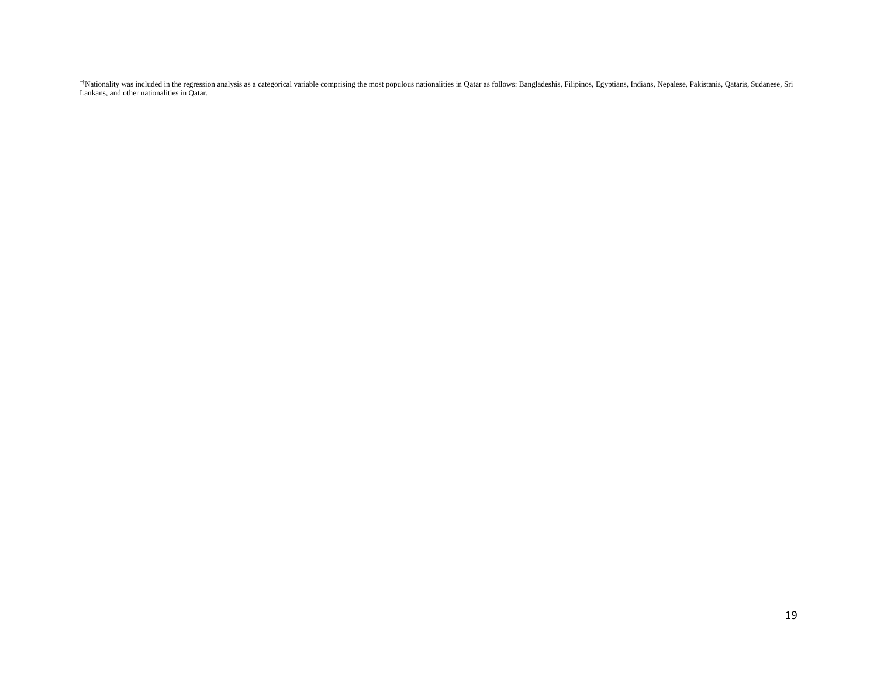\*\*Nationality was included in the regression analysis as a categorical variable comprising the most populous nationalities in Qatar as follows: Bangladeshis, Filipinos, Egyptians, Indians, Nepalese, Pakistanis, Qataris, Su Lankans, and other nationalities in Qatar.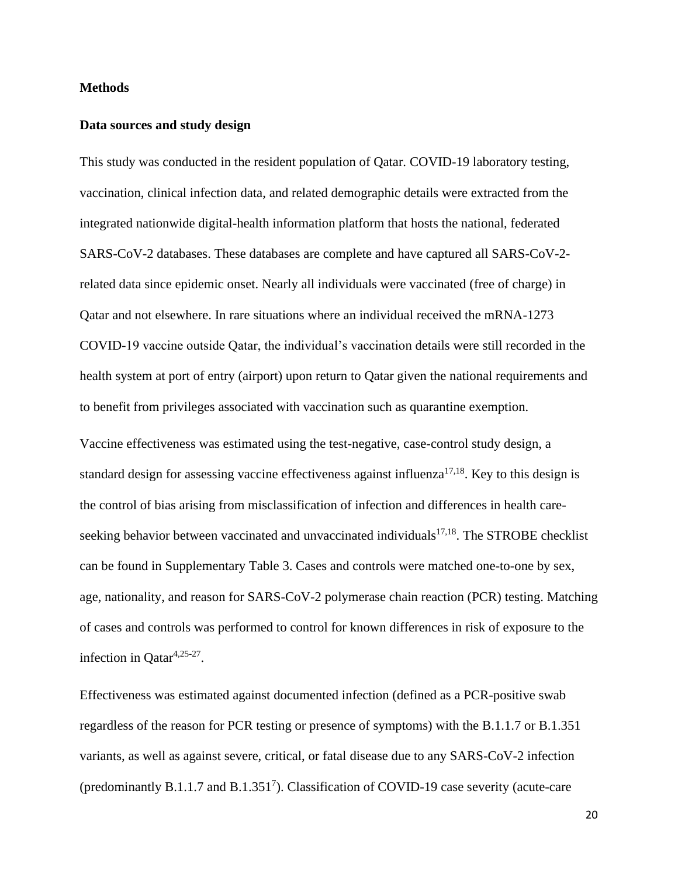### **Methods**

#### **Data sources and study design**

This study was conducted in the resident population of Qatar. COVID-19 laboratory testing, vaccination, clinical infection data, and related demographic details were extracted from the integrated nationwide digital-health information platform that hosts the national, federated SARS-CoV-2 databases. These databases are complete and have captured all SARS-CoV-2 related data since epidemic onset. Nearly all individuals were vaccinated (free of charge) in Qatar and not elsewhere. In rare situations where an individual received the mRNA-1273 COVID-19 vaccine outside Qatar, the individual's vaccination details were still recorded in the health system at port of entry (airport) upon return to Qatar given the national requirements and to benefit from privileges associated with vaccination such as quarantine exemption.

Vaccine effectiveness was estimated using the test-negative, case-control study design, a standard design for assessing vaccine effectiveness against influenza $17,18$ . Key to this design is the control of bias arising from misclassification of infection and differences in health careseeking behavior between vaccinated and unvaccinated individuals<sup>17,18</sup>. The STROBE checklist can be found in Supplementary Table 3. Cases and controls were matched one-to-one by sex, age, nationality, and reason for SARS-CoV-2 polymerase chain reaction (PCR) testing. Matching of cases and controls was performed to control for known differences in risk of exposure to the infection in Qatar<sup>4,25-27</sup>.

Effectiveness was estimated against documented infection (defined as a PCR-positive swab regardless of the reason for PCR testing or presence of symptoms) with the B.1.1.7 or B.1.351 variants, as well as against severe, critical, or fatal disease due to any SARS-CoV-2 infection (predominantly B.1.1.7 and B.1.351<sup>7</sup>). Classification of COVID-19 case severity (acute-care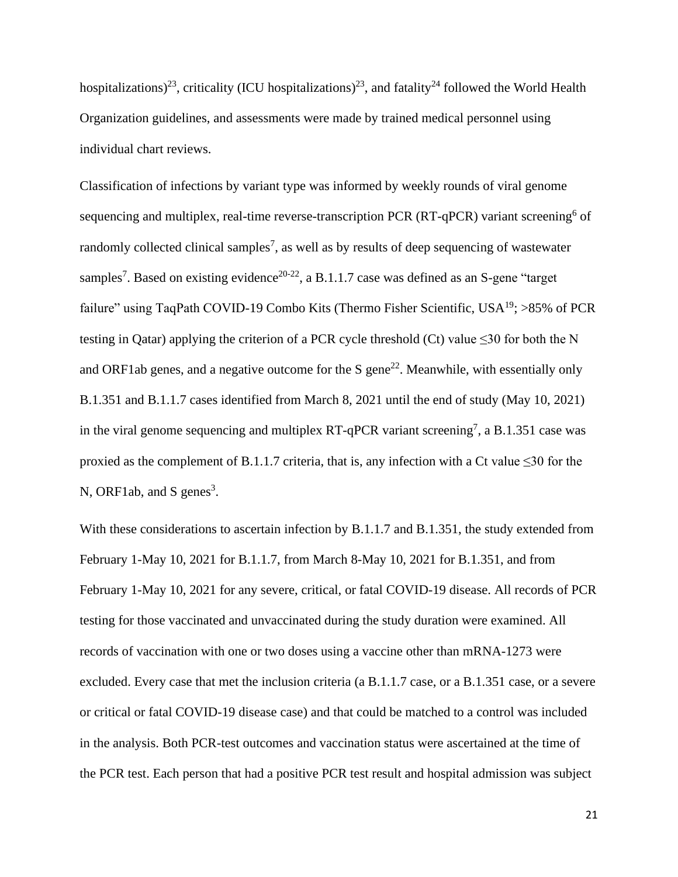hospitalizations)<sup>23</sup>, criticality (ICU hospitalizations)<sup>23</sup>, and fatality<sup>24</sup> followed the World Health Organization guidelines, and assessments were made by trained medical personnel using individual chart reviews.

Classification of infections by variant type was informed by weekly rounds of viral genome sequencing and multiplex, real-time reverse-transcription PCR (RT-qPCR) variant screening<sup>6</sup> of randomly collected clinical samples<sup>7</sup>, as well as by results of deep sequencing of wastewater samples<sup>7</sup>. Based on existing evidence<sup>20-22</sup>, a B.1.1.7 case was defined as an S-gene "target failure" using TaqPath COVID-19 Combo Kits (Thermo Fisher Scientific,  $USA^{19}$ ; >85% of PCR testing in Qatar) applying the criterion of a PCR cycle threshold (Ct) value  $\leq 30$  for both the N and ORF1ab genes, and a negative outcome for the S gene<sup>22</sup>. Meanwhile, with essentially only B.1.351 and B.1.1.7 cases identified from March 8, 2021 until the end of study (May 10, 2021) in the viral genome sequencing and multiplex RT-qPCR variant screening<sup>7</sup>, a B.1.351 case was proxied as the complement of B.1.1.7 criteria, that is, any infection with a Ct value  $\leq 30$  for the N, ORF1ab, and S genes<sup>3</sup>.

With these considerations to ascertain infection by B.1.1.7 and B.1.351, the study extended from February 1-May 10, 2021 for B.1.1.7, from March 8-May 10, 2021 for B.1.351, and from February 1-May 10, 2021 for any severe, critical, or fatal COVID-19 disease. All records of PCR testing for those vaccinated and unvaccinated during the study duration were examined. All records of vaccination with one or two doses using a vaccine other than mRNA-1273 were excluded. Every case that met the inclusion criteria (a B.1.1.7 case, or a B.1.351 case, or a severe or critical or fatal COVID-19 disease case) and that could be matched to a control was included in the analysis. Both PCR-test outcomes and vaccination status were ascertained at the time of the PCR test. Each person that had a positive PCR test result and hospital admission was subject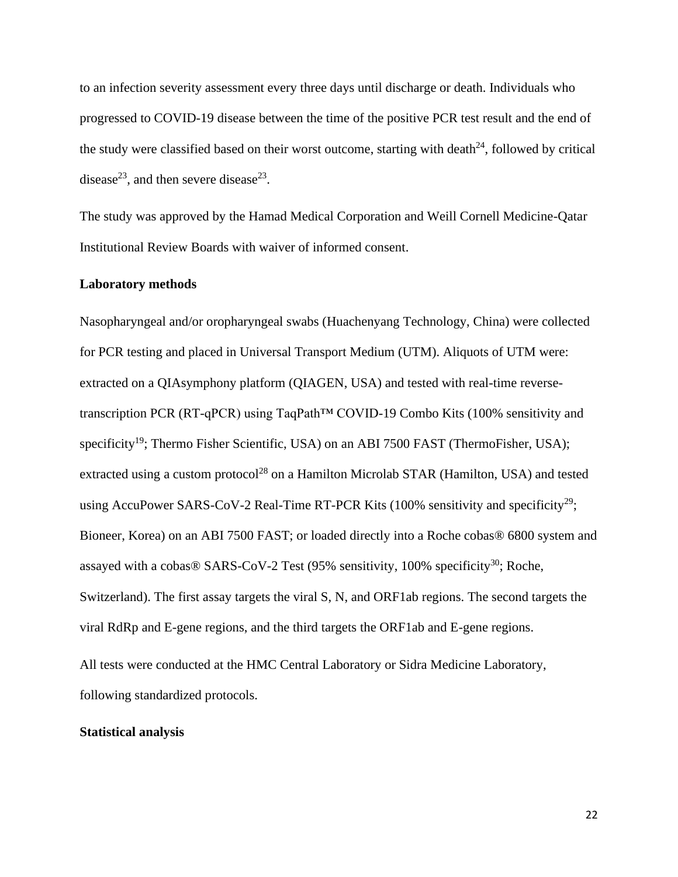to an infection severity assessment every three days until discharge or death. Individuals who progressed to COVID-19 disease between the time of the positive PCR test result and the end of the study were classified based on their worst outcome, starting with death $24$ , followed by critical disease<sup>23</sup>, and then severe disease<sup>23</sup>.

The study was approved by the Hamad Medical Corporation and Weill Cornell Medicine-Qatar Institutional Review Boards with waiver of informed consent.

### **Laboratory methods**

Nasopharyngeal and/or oropharyngeal swabs (Huachenyang Technology, China) were collected for PCR testing and placed in Universal Transport Medium (UTM). Aliquots of UTM were: extracted on a QIAsymphony platform (QIAGEN, USA) and tested with real-time reversetranscription PCR (RT-qPCR) using TaqPath™ COVID-19 Combo Kits (100% sensitivity and specificity<sup>19</sup>; Thermo Fisher Scientific, USA) on an ABI 7500 FAST (ThermoFisher, USA); extracted using a custom protocol<sup>28</sup> on a Hamilton Microlab STAR (Hamilton, USA) and tested using AccuPower SARS-CoV-2 Real-Time RT-PCR Kits  $(100\%$  sensitivity and specificity<sup>29</sup>; Bioneer, Korea) on an ABI 7500 FAST; or loaded directly into a Roche cobas® 6800 system and assayed with a cobas® SARS-CoV-2 Test  $(95%$  sensitivity, 100% specificity<sup>30</sup>; Roche, Switzerland). The first assay targets the viral S, N, and ORF1ab regions. The second targets the viral RdRp and E-gene regions, and the third targets the ORF1ab and E-gene regions.

All tests were conducted at the HMC Central Laboratory or Sidra Medicine Laboratory, following standardized protocols.

# **Statistical analysis**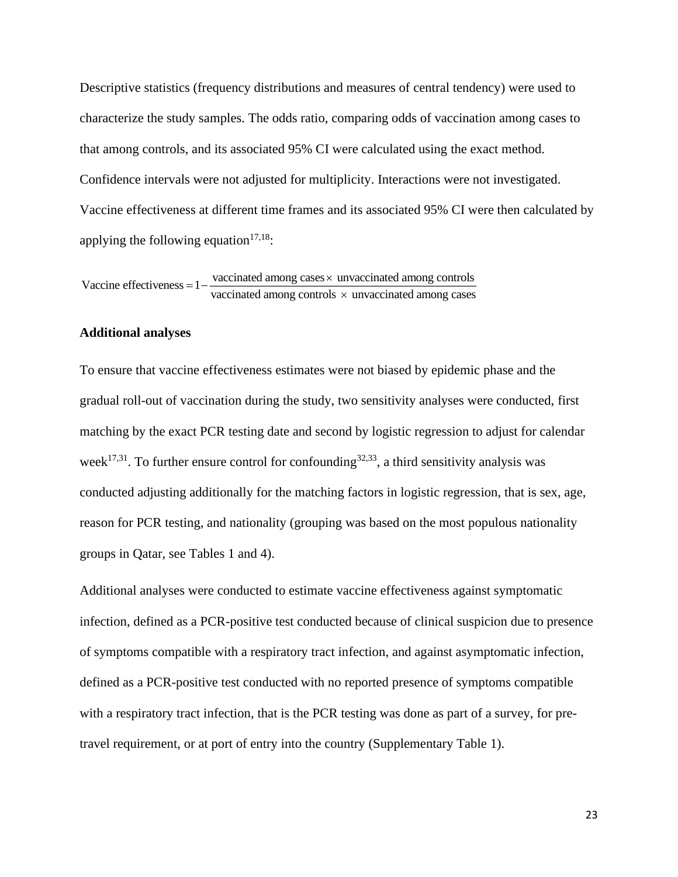Descriptive statistics (frequency distributions and measures of central tendency) were used to characterize the study samples. The odds ratio, comparing odds of vaccination among cases to that among controls, and its associated 95% CI were calculated using the exact method. Confidence intervals were not adjusted for multiplicity. Interactions were not investigated. Vaccine effectiveness at different time frames and its associated 95% CI were then calculated by applying the following equation<sup>17,18</sup>:

Vaccine effectiveness = 
$$
1 - \frac{vaccinated \ among \ cases \times unvacinated \ among \ controls}{vaccinated \ among \ controls \times unvacinated \ among \ cases}
$$

### **Additional analyses**

To ensure that vaccine effectiveness estimates were not biased by epidemic phase and the gradual roll-out of vaccination during the study, two sensitivity analyses were conducted, first matching by the exact PCR testing date and second by logistic regression to adjust for calendar week<sup>17,31</sup>. To further ensure control for confounding<sup>32,33</sup>, a third sensitivity analysis was conducted adjusting additionally for the matching factors in logistic regression, that is sex, age, reason for PCR testing, and nationality (grouping was based on the most populous nationality groups in Qatar, see Tables 1 and 4).

Additional analyses were conducted to estimate vaccine effectiveness against symptomatic infection, defined as a PCR-positive test conducted because of clinical suspicion due to presence of symptoms compatible with a respiratory tract infection, and against asymptomatic infection, defined as a PCR-positive test conducted with no reported presence of symptoms compatible with a respiratory tract infection, that is the PCR testing was done as part of a survey, for pretravel requirement, or at port of entry into the country (Supplementary Table 1).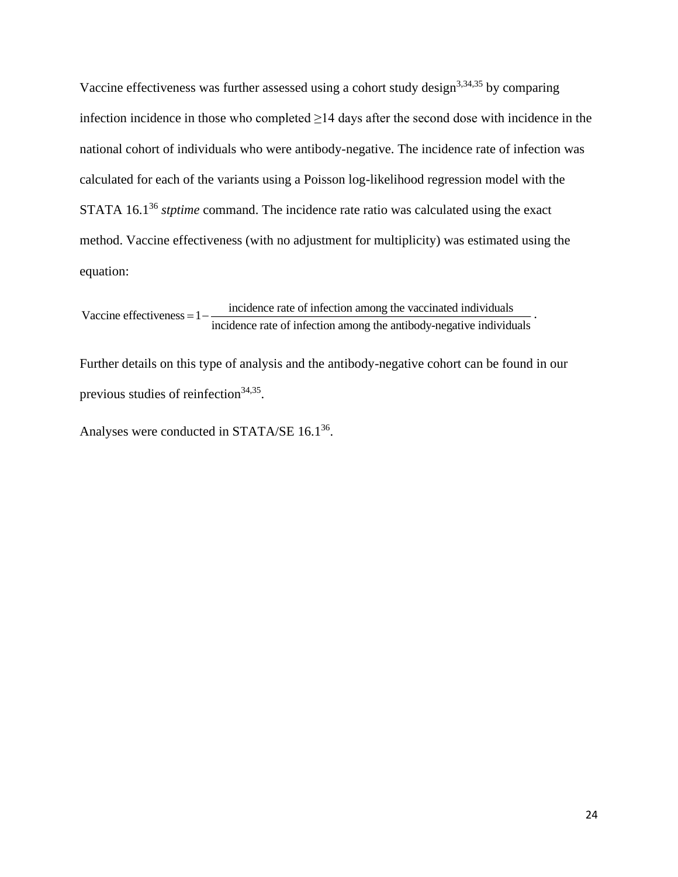Vaccine effectiveness was further assessed using a cohort study design<sup>3,34,35</sup> by comparing infection incidence in those who completed ≥14 days after the second dose with incidence in the national cohort of individuals who were antibody-negative. The incidence rate of infection was calculated for each of the variants using a Poisson log-likelihood regression model with the STATA 16.1<sup>36</sup> *stptime* command. The incidence rate ratio was calculated using the exact method. Vaccine effectiveness (with no adjustment for multiplicity) was estimated using the equation:

Vaccine effectiveness  $= 1 - \frac{\text{incidence rate of infection among the vacinated individuals}}{1 - \text{incidence rate of infection among the vaccinated individuals}}$ incidence rate of infection among the antibody-negative individuals  $= 1 - \frac{$  incluence rate of infection among the vaccinated individuals  $\overline{\phantom{a}}$ .

Further details on this type of analysis and the antibody-negative cohort can be found in our previous studies of reinfection<sup>34,35</sup>.

Analyses were conducted in STATA/SE  $16.1^{36}$ .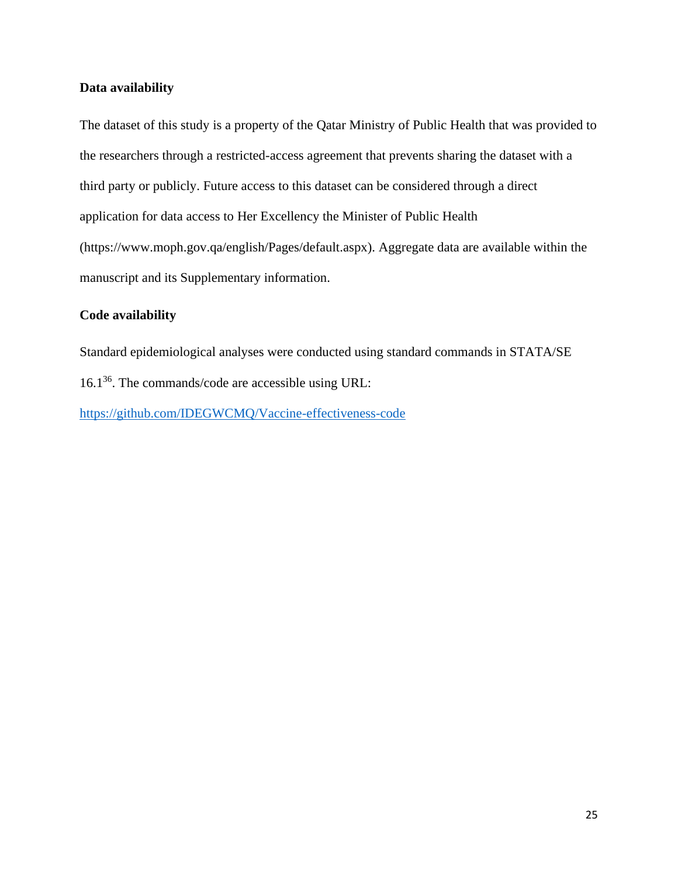# **Data availability**

The dataset of this study is a property of the Qatar Ministry of Public Health that was provided to the researchers through a restricted-access agreement that prevents sharing the dataset with a third party or publicly. Future access to this dataset can be considered through a direct application for data access to Her Excellency the Minister of Public Health (https://www.moph.gov.qa/english/Pages/default.aspx). Aggregate data are available within the manuscript and its Supplementary information.

# **Code availability**

Standard epidemiological analyses were conducted using standard commands in STATA/SE 16.1<sup>36</sup> . The commands/code are accessible using URL: <https://github.com/IDEGWCMQ/Vaccine-effectiveness-code>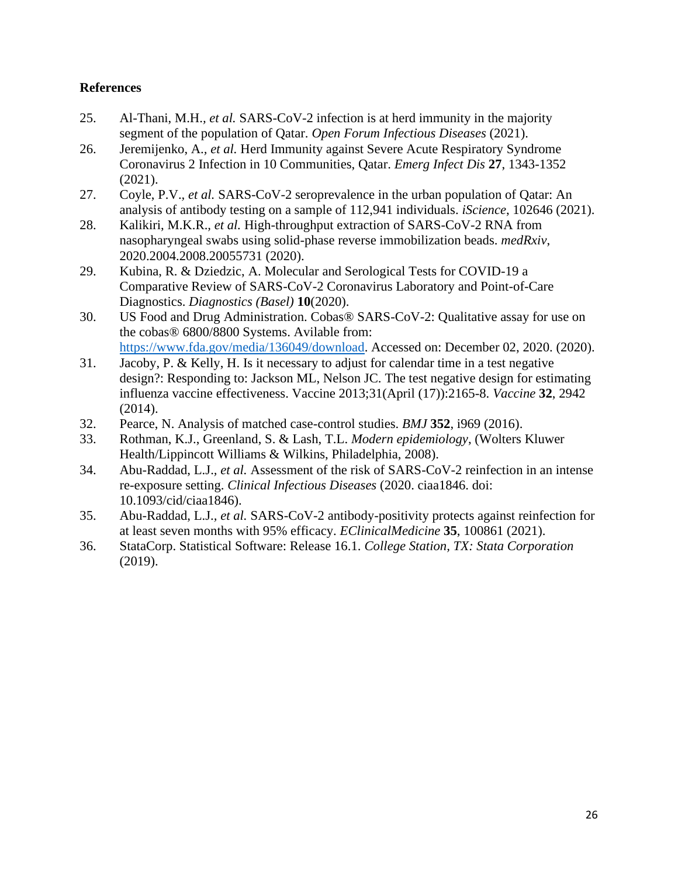# **References**

- 25. Al-Thani, M.H.*, et al.* SARS-CoV-2 infection is at herd immunity in the majority segment of the population of Qatar. *Open Forum Infectious Diseases* (2021).
- 26. Jeremijenko, A.*, et al.* Herd Immunity against Severe Acute Respiratory Syndrome Coronavirus 2 Infection in 10 Communities, Qatar. *Emerg Infect Dis* **27**, 1343-1352 (2021).
- 27. Coyle, P.V.*, et al.* SARS-CoV-2 seroprevalence in the urban population of Qatar: An analysis of antibody testing on a sample of 112,941 individuals. *iScience*, 102646 (2021).
- 28. Kalikiri, M.K.R.*, et al.* High-throughput extraction of SARS-CoV-2 RNA from nasopharyngeal swabs using solid-phase reverse immobilization beads. *medRxiv*, 2020.2004.2008.20055731 (2020).
- 29. Kubina, R. & Dziedzic, A. Molecular and Serological Tests for COVID-19 a Comparative Review of SARS-CoV-2 Coronavirus Laboratory and Point-of-Care Diagnostics. *Diagnostics (Basel)* **10**(2020).
- 30. US Food and Drug Administration. Cobas® SARS-CoV-2: Qualitative assay for use on the cobas® 6800/8800 Systems. Avilable from: [https://www.fda.gov/media/136049/download.](https://www.fda.gov/media/136049/download) Accessed on: December 02, 2020. (2020).
- 31. Jacoby, P. & Kelly, H. Is it necessary to adjust for calendar time in a test negative design?: Responding to: Jackson ML, Nelson JC. The test negative design for estimating influenza vaccine effectiveness. Vaccine 2013;31(April (17)):2165-8. *Vaccine* **32**, 2942 (2014).
- 32. Pearce, N. Analysis of matched case-control studies. *BMJ* **352**, i969 (2016).
- 33. Rothman, K.J., Greenland, S. & Lash, T.L. *Modern epidemiology*, (Wolters Kluwer Health/Lippincott Williams & Wilkins, Philadelphia, 2008).
- 34. Abu-Raddad, L.J.*, et al.* Assessment of the risk of SARS-CoV-2 reinfection in an intense re-exposure setting. *Clinical Infectious Diseases* (2020. ciaa1846. doi: 10.1093/cid/ciaa1846).
- 35. Abu-Raddad, L.J.*, et al.* SARS-CoV-2 antibody-positivity protects against reinfection for at least seven months with 95% efficacy. *EClinicalMedicine* **35**, 100861 (2021).
- 36. StataCorp. Statistical Software: Release 16.1. *College Station, TX: Stata Corporation* (2019).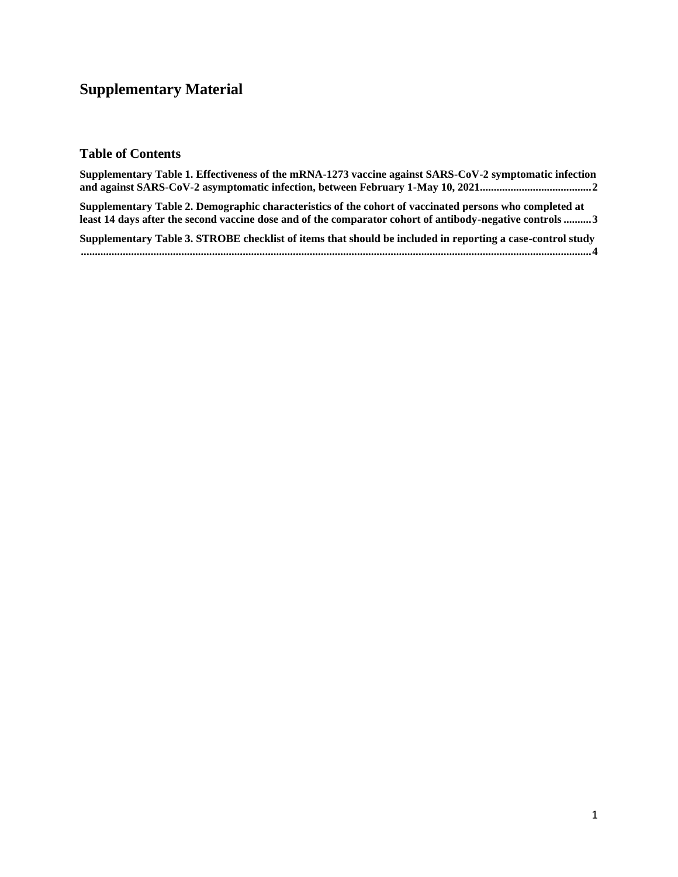# **Supplementary Material**

# **Table of Contents**

| Supplementary Table 1. Effectiveness of the mRNA-1273 vaccine against SARS-CoV-2 symptomatic infection                                                                                                              |
|---------------------------------------------------------------------------------------------------------------------------------------------------------------------------------------------------------------------|
| Supplementary Table 2. Demographic characteristics of the cohort of vaccinated persons who completed at<br>least 14 days after the second vaccine dose and of the comparator cohort of antibody-negative controls 3 |
| Supplementary Table 3. STROBE checklist of items that should be included in reporting a case-control study                                                                                                          |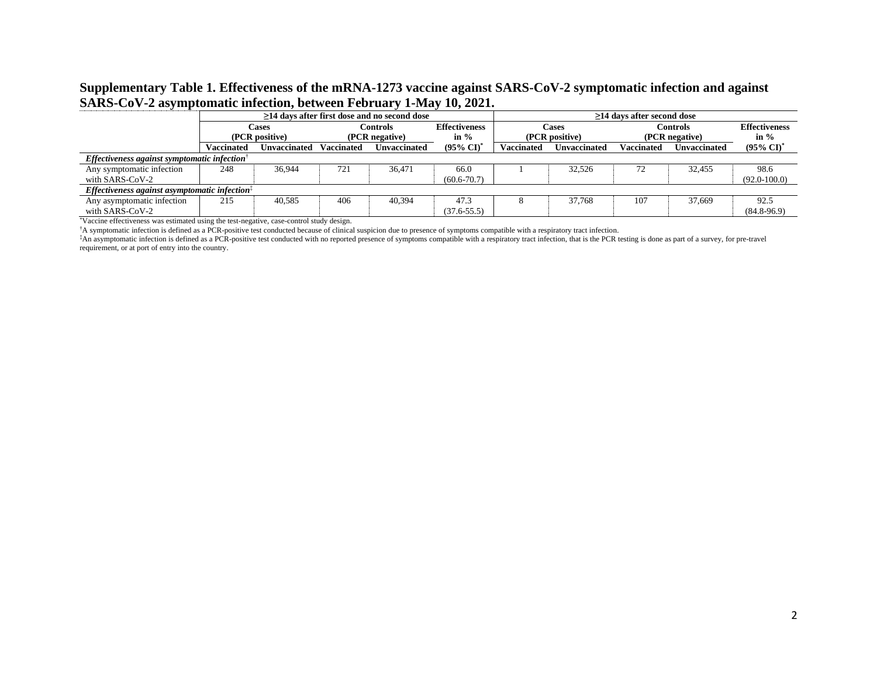# **Supplementary Table 1. Effectiveness of the mRNA-1273 vaccine against SARS-CoV-2 symptomatic infection and against SARS-CoV-2 asymptomatic infection, between February 1-May 10, 2021.**

|                                                                               | >14 days after first dose and no second dose |                |                   |                     |                                  |                   | >14 days after second dose |                   |              |                       |  |
|-------------------------------------------------------------------------------|----------------------------------------------|----------------|-------------------|---------------------|----------------------------------|-------------------|----------------------------|-------------------|--------------|-----------------------|--|
|                                                                               |                                              | Cases          | <b>Controls</b>   |                     | <b>Effectiveness</b>             | Cases             |                            | Controls          |              | <b>Effectiveness</b>  |  |
|                                                                               |                                              | (PCR positive) | (PCR negative)    |                     | in $\%$                          | (PCR positive)    |                            | (PCR negative)    |              | in $%$                |  |
|                                                                               | <b>Vaccinated</b>                            | Unvaccinated   | <b>Vaccinated</b> | <b>Unvaccinated</b> | $(95\% \text{ CI})$ <sup>*</sup> | <b>Vaccinated</b> | Unvaccinated               | <b>Vaccinated</b> | Unvaccinated | $(95\% \text{ CI})^3$ |  |
| Effectiveness against symptomatic infection <sup>†</sup>                      |                                              |                |                   |                     |                                  |                   |                            |                   |              |                       |  |
| Any symptomatic infection                                                     | 248                                          | 36.944         | 721               | 36.471              | 66.0                             |                   | 32.526                     |                   | 32.455       | 98.6                  |  |
| with SARS-CoV-2                                                               |                                              |                |                   |                     | $(60.6 - 70.7)$                  |                   |                            |                   |              | $(92.0 - 100.0)$      |  |
| Effectiveness against asymptomatic infection <sup><math>\ddagger</math></sup> |                                              |                |                   |                     |                                  |                   |                            |                   |              |                       |  |
| Any asymptomatic infection                                                    | 215                                          | 40,585         | 406               | 40.394              | 47.3                             |                   | 37,768                     | 107               | 37.669       | 92.5                  |  |
| with SARS-CoV-2                                                               |                                              |                |                   |                     | $(37.6 - 55.5)$                  |                   |                            |                   |              | $(84.8-96.9)$         |  |

\*Vaccine effectiveness was estimated using the test-negative, case-control study design.

†A symptomatic infection is defined as a PCR-positive test conducted because of clinical suspicion due to presence of symptoms compatible with a respiratory tract infection.

‡An asymptomatic infection is defined as a PCR-positive test conducted with no reported presence of symptoms compatible with a respiratory tract infection, that is the PCR testing is done as part of a survey, for pre-travel requirement, or at port of entry into the country.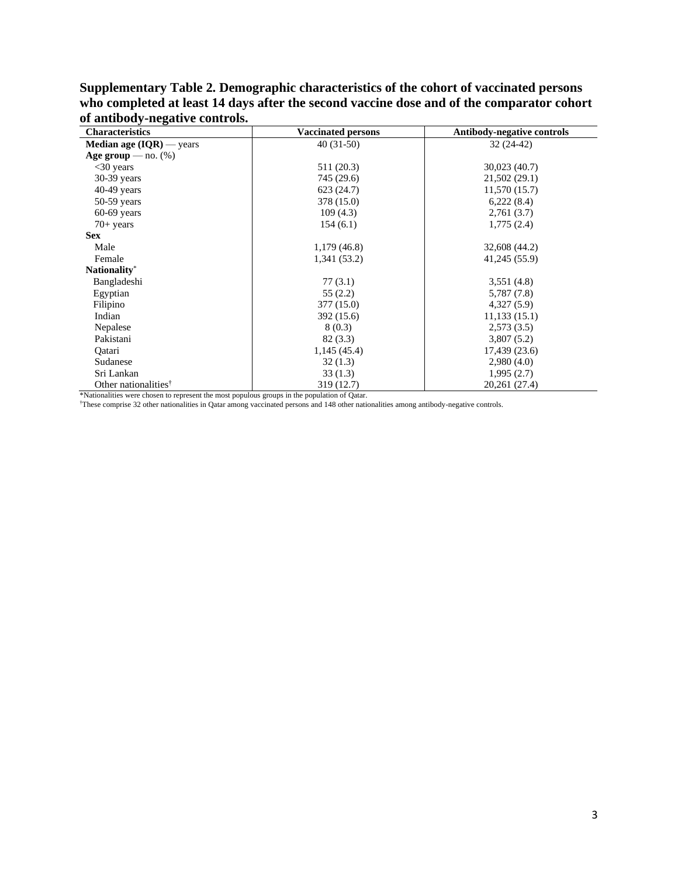| <b>Characteristics</b>                       | <b>Vaccinated persons</b> | <b>Antibody-negative controls</b> |
|----------------------------------------------|---------------------------|-----------------------------------|
| <b>Median age <math>(IQR)</math></b> — years | $40(31-50)$               | $32(24-42)$                       |
| Age group — $no.$ (%)                        |                           |                                   |
| $<30$ years                                  | 511 (20.3)                | 30,023 (40.7)                     |
| $30-39$ years                                | 745 (29.6)                | 21,502 (29.1)                     |
| $40-49$ years                                | 623 (24.7)                | 11,570(15.7)                      |
| $50-59$ years                                | 378 (15.0)                | 6,222(8.4)                        |
| $60-69$ years                                | 109(4.3)                  | 2,761(3.7)                        |
| $70+$ years                                  | 154(6.1)                  | 1,775(2.4)                        |
| <b>Sex</b>                                   |                           |                                   |
| Male                                         | 1,179(46.8)               | 32,608 (44.2)                     |
| Female                                       | 1,341 (53.2)              | 41,245 (55.9)                     |
| Nationality*                                 |                           |                                   |
| Bangladeshi                                  | 77(3.1)                   | 3,551(4.8)                        |
| Egyptian                                     | 55(2.2)                   | 5,787 (7.8)                       |
| Filipino                                     | 377 (15.0)                | 4,327(5.9)                        |
| Indian                                       | 392 (15.6)                | 11,133(15.1)                      |
| Nepalese                                     | 8(0.3)                    | 2,573(3.5)                        |
| Pakistani                                    | 82(3.3)                   | 3,807(5.2)                        |
| Qatari                                       | 1,145(45.4)               | 17,439 (23.6)                     |
| Sudanese                                     | 32(1.3)                   | 2,980(4.0)                        |
| Sri Lankan                                   | 33(1.3)                   | 1,995(2.7)                        |
| Other nationalities <sup>†</sup>             | 319 (12.7)                | 20,261 (27.4)                     |

**Supplementary Table 2. Demographic characteristics of the cohort of vaccinated persons**  who completed at least 14 days after the second vaccine dose and of the comparator cohort **of antibody-negative controls.** 

\*Nationalities were chosen to represent the most populous groups in the population of Qatar.<br>These comprise 32 other nationalities in Qatar among vaccinated persons and 148 other nationalities among antibody-negative contr